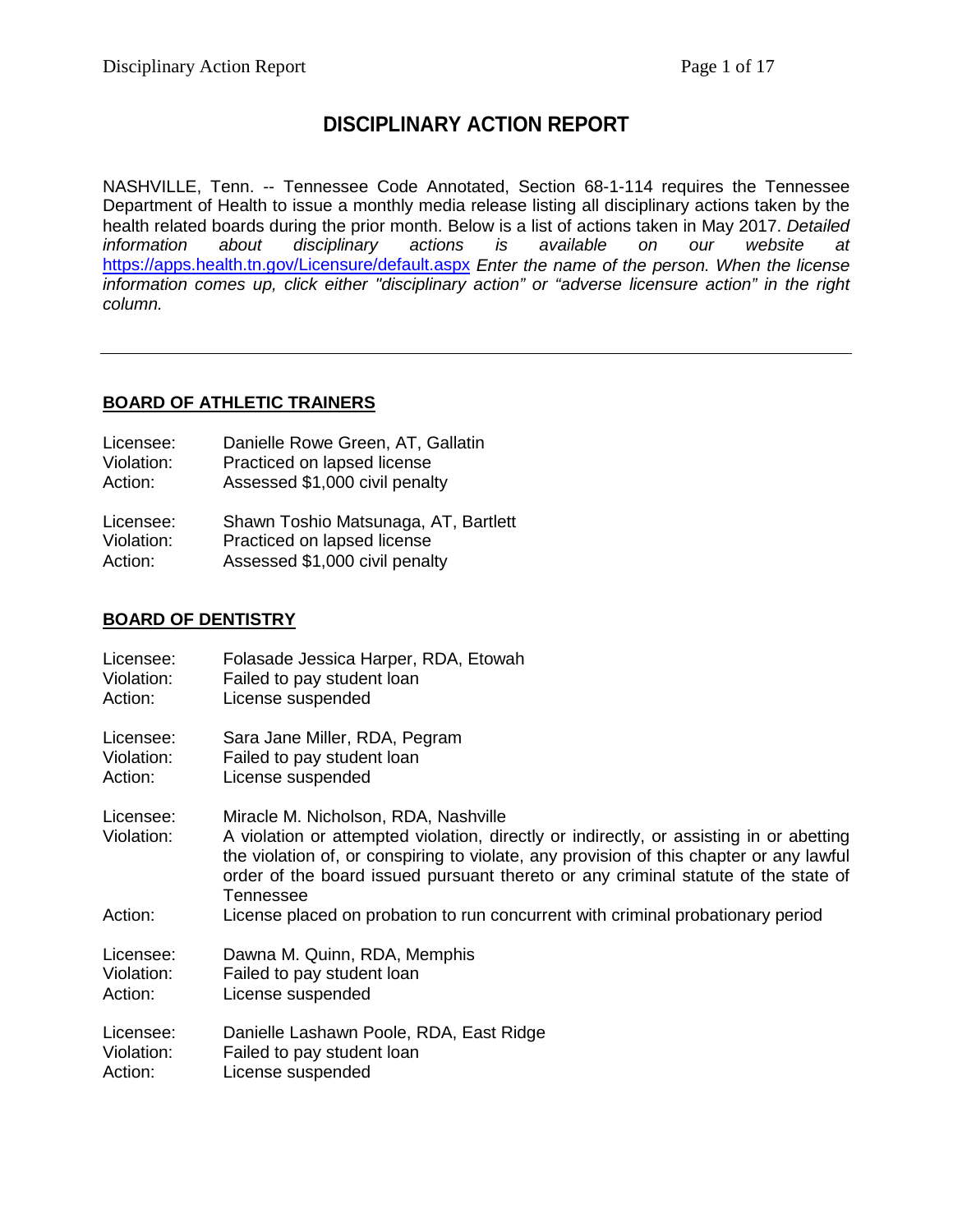# **DISCIPLINARY ACTION REPORT**

NASHVILLE, Tenn. -- Tennessee Code Annotated, Section 68-1-114 requires the Tennessee Department of Health to issue a monthly media release listing all disciplinary actions taken by the health related boards during the prior month. Below is a list of actions taken in May 2017. *Detailed information about disciplinary actions is available on our website at* <https://apps.health.tn.gov/Licensure/default.aspx> *Enter the name of the person. When the license information comes up, click either "disciplinary action" or "adverse licensure action" in the right column.*

# **BOARD OF ATHLETIC TRAINERS**

| Licensee:  | Danielle Rowe Green, AT, Gallatin    |
|------------|--------------------------------------|
| Violation: | Practiced on lapsed license          |
| Action:    | Assessed \$1,000 civil penalty       |
| Licensee:  | Shawn Toshio Matsunaga, AT, Bartlett |
| Violation: | Practiced on lapsed license          |

Action: Assessed \$1,000 civil penalty

## **BOARD OF DENTISTRY**

| Licensee:               | Folasade Jessica Harper, RDA, Etowah                                                                                                                                                                                                                                                                                          |
|-------------------------|-------------------------------------------------------------------------------------------------------------------------------------------------------------------------------------------------------------------------------------------------------------------------------------------------------------------------------|
| Violation:              | Failed to pay student loan                                                                                                                                                                                                                                                                                                    |
| Action:                 | License suspended                                                                                                                                                                                                                                                                                                             |
| Licensee:               | Sara Jane Miller, RDA, Pegram                                                                                                                                                                                                                                                                                                 |
| Violation:              | Failed to pay student loan                                                                                                                                                                                                                                                                                                    |
| Action:                 | License suspended                                                                                                                                                                                                                                                                                                             |
| Licensee:<br>Violation: | Miracle M. Nicholson, RDA, Nashville<br>A violation or attempted violation, directly or indirectly, or assisting in or abetting<br>the violation of, or conspiring to violate, any provision of this chapter or any lawful<br>order of the board issued pursuant thereto or any criminal statute of the state of<br>Tennessee |
| Action:                 | License placed on probation to run concurrent with criminal probationary period                                                                                                                                                                                                                                               |
| Licensee:               | Dawna M. Quinn, RDA, Memphis                                                                                                                                                                                                                                                                                                  |
| Violation:              | Failed to pay student loan                                                                                                                                                                                                                                                                                                    |
| Action:                 | License suspended                                                                                                                                                                                                                                                                                                             |
| Licensee:               | Danielle Lashawn Poole, RDA, East Ridge                                                                                                                                                                                                                                                                                       |
| Violation:              | Failed to pay student loan                                                                                                                                                                                                                                                                                                    |
| Action:                 | License suspended                                                                                                                                                                                                                                                                                                             |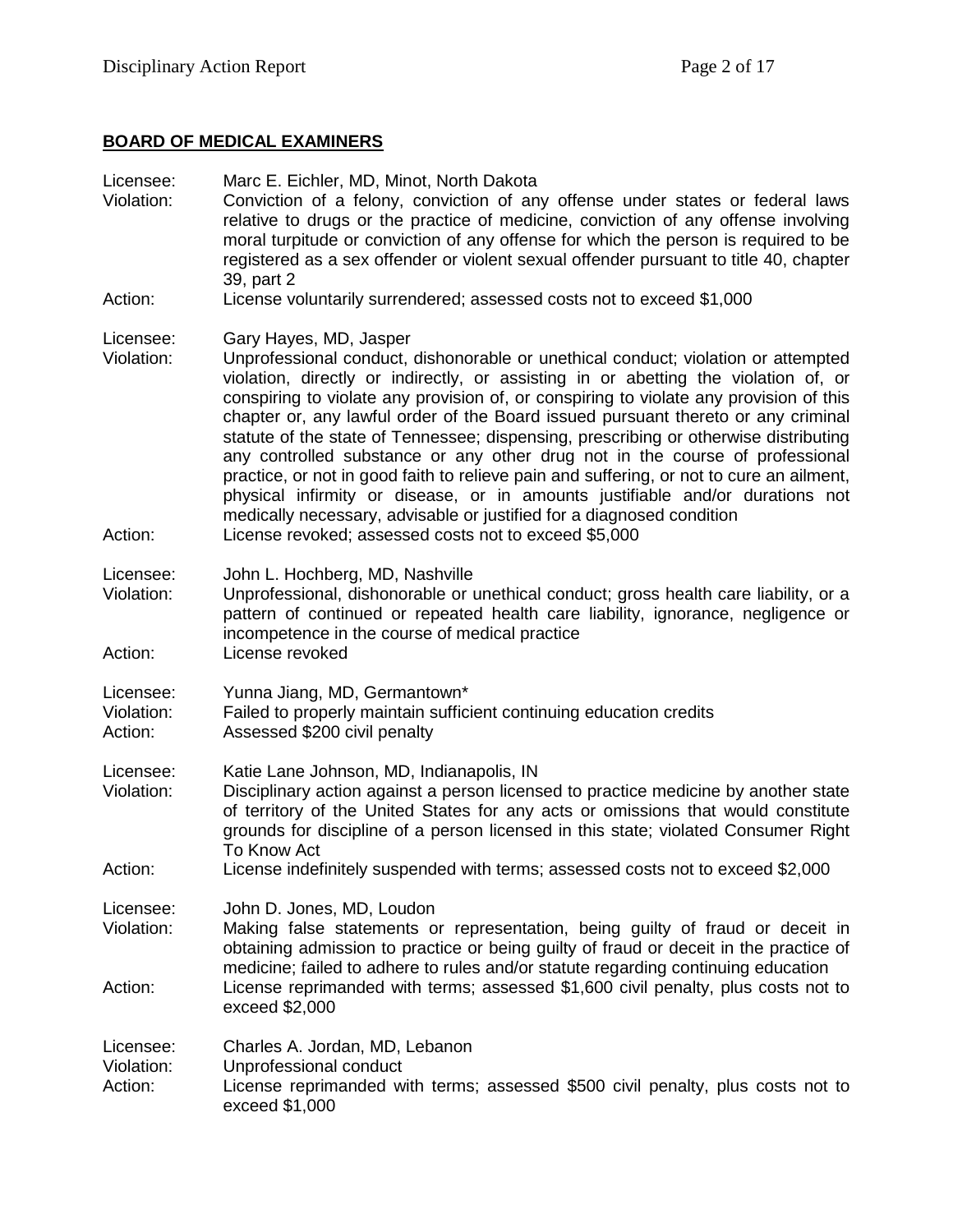# **BOARD OF MEDICAL EXAMINERS**

| Licensee:<br>Violation:            | Marc E. Eichler, MD, Minot, North Dakota<br>Conviction of a felony, conviction of any offense under states or federal laws<br>relative to drugs or the practice of medicine, conviction of any offense involving<br>moral turpitude or conviction of any offense for which the person is required to be<br>registered as a sex offender or violent sexual offender pursuant to title 40, chapter<br>39, part 2                                                                                                                                                                                                                                                                                                                                                                                                  |
|------------------------------------|-----------------------------------------------------------------------------------------------------------------------------------------------------------------------------------------------------------------------------------------------------------------------------------------------------------------------------------------------------------------------------------------------------------------------------------------------------------------------------------------------------------------------------------------------------------------------------------------------------------------------------------------------------------------------------------------------------------------------------------------------------------------------------------------------------------------|
| Action:                            | License voluntarily surrendered; assessed costs not to exceed \$1,000                                                                                                                                                                                                                                                                                                                                                                                                                                                                                                                                                                                                                                                                                                                                           |
| Licensee:<br>Violation:<br>Action: | Gary Hayes, MD, Jasper<br>Unprofessional conduct, dishonorable or unethical conduct; violation or attempted<br>violation, directly or indirectly, or assisting in or abetting the violation of, or<br>conspiring to violate any provision of, or conspiring to violate any provision of this<br>chapter or, any lawful order of the Board issued pursuant thereto or any criminal<br>statute of the state of Tennessee; dispensing, prescribing or otherwise distributing<br>any controlled substance or any other drug not in the course of professional<br>practice, or not in good faith to relieve pain and suffering, or not to cure an ailment,<br>physical infirmity or disease, or in amounts justifiable and/or durations not<br>medically necessary, advisable or justified for a diagnosed condition |
|                                    | License revoked; assessed costs not to exceed \$5,000                                                                                                                                                                                                                                                                                                                                                                                                                                                                                                                                                                                                                                                                                                                                                           |
| Licensee:<br>Violation:            | John L. Hochberg, MD, Nashville<br>Unprofessional, dishonorable or unethical conduct; gross health care liability, or a<br>pattern of continued or repeated health care liability, ignorance, negligence or<br>incompetence in the course of medical practice                                                                                                                                                                                                                                                                                                                                                                                                                                                                                                                                                   |
| Action:                            | License revoked                                                                                                                                                                                                                                                                                                                                                                                                                                                                                                                                                                                                                                                                                                                                                                                                 |
| Licensee:<br>Violation:<br>Action: | Yunna Jiang, MD, Germantown*<br>Failed to properly maintain sufficient continuing education credits<br>Assessed \$200 civil penalty                                                                                                                                                                                                                                                                                                                                                                                                                                                                                                                                                                                                                                                                             |
| Licensee:<br>Violation:            | Katie Lane Johnson, MD, Indianapolis, IN<br>Disciplinary action against a person licensed to practice medicine by another state<br>of territory of the United States for any acts or omissions that would constitute<br>grounds for discipline of a person licensed in this state; violated Consumer Right<br>To Know Act                                                                                                                                                                                                                                                                                                                                                                                                                                                                                       |
| Action:                            | License indefinitely suspended with terms; assessed costs not to exceed \$2,000                                                                                                                                                                                                                                                                                                                                                                                                                                                                                                                                                                                                                                                                                                                                 |
| Licensee:<br>Violation:            | John D. Jones, MD, Loudon<br>Making false statements or representation, being guilty of fraud or deceit in<br>obtaining admission to practice or being guilty of fraud or deceit in the practice of<br>medicine; failed to adhere to rules and/or statute regarding continuing education                                                                                                                                                                                                                                                                                                                                                                                                                                                                                                                        |
| Action:                            | License reprimanded with terms; assessed \$1,600 civil penalty, plus costs not to<br>exceed \$2,000                                                                                                                                                                                                                                                                                                                                                                                                                                                                                                                                                                                                                                                                                                             |
| Licensee:<br>Violation:<br>Action: | Charles A. Jordan, MD, Lebanon<br>Unprofessional conduct<br>License reprimanded with terms; assessed \$500 civil penalty, plus costs not to<br>exceed \$1,000                                                                                                                                                                                                                                                                                                                                                                                                                                                                                                                                                                                                                                                   |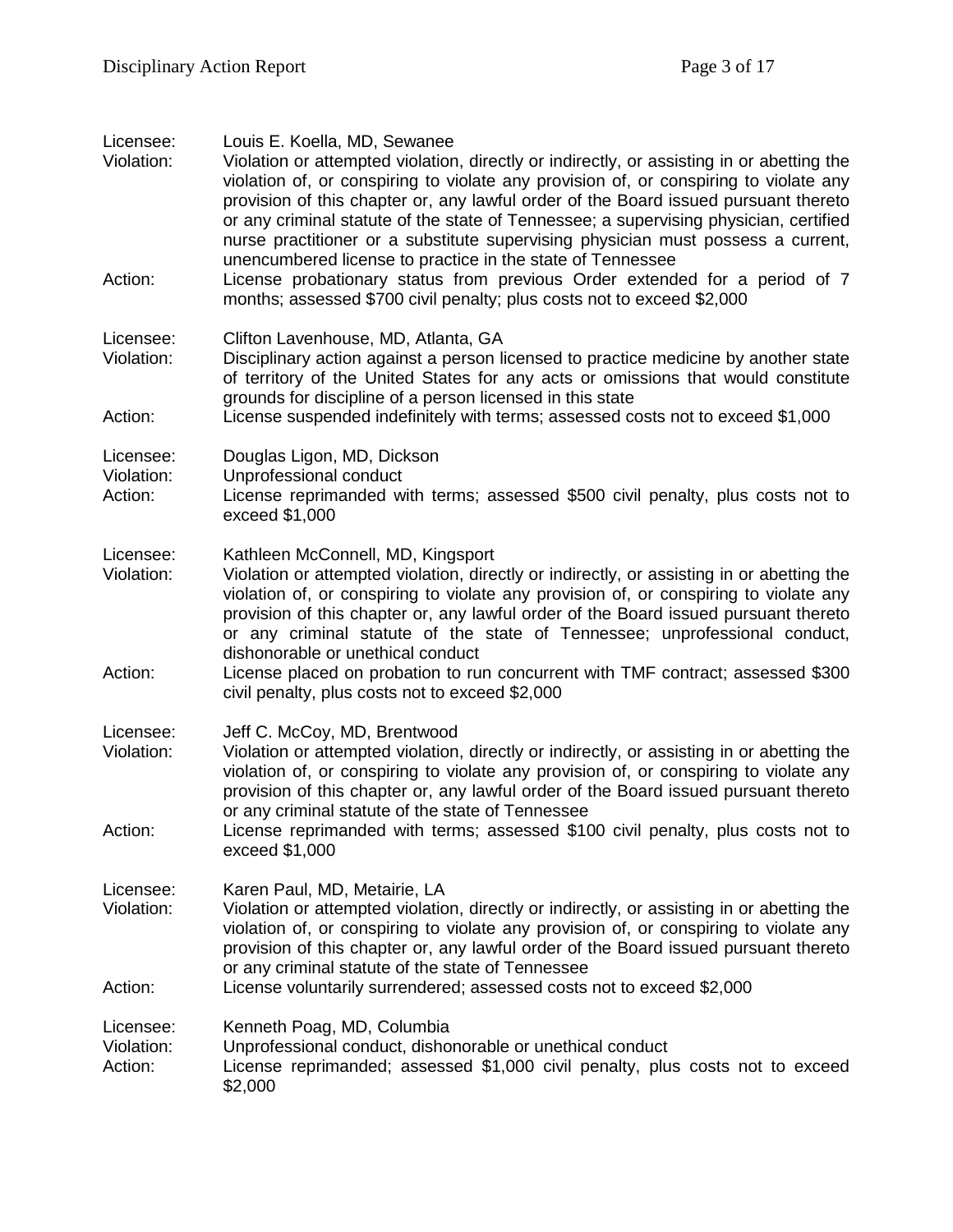| Licensee:<br>Violation:            | Louis E. Koella, MD, Sewanee<br>Violation or attempted violation, directly or indirectly, or assisting in or abetting the<br>violation of, or conspiring to violate any provision of, or conspiring to violate any<br>provision of this chapter or, any lawful order of the Board issued pursuant thereto<br>or any criminal statute of the state of Tennessee; a supervising physician, certified<br>nurse practitioner or a substitute supervising physician must possess a current,<br>unencumbered license to practice in the state of Tennessee |
|------------------------------------|------------------------------------------------------------------------------------------------------------------------------------------------------------------------------------------------------------------------------------------------------------------------------------------------------------------------------------------------------------------------------------------------------------------------------------------------------------------------------------------------------------------------------------------------------|
| Action:                            | License probationary status from previous Order extended for a period of 7<br>months; assessed \$700 civil penalty; plus costs not to exceed \$2,000                                                                                                                                                                                                                                                                                                                                                                                                 |
| Licensee:<br>Violation:            | Clifton Lavenhouse, MD, Atlanta, GA<br>Disciplinary action against a person licensed to practice medicine by another state<br>of territory of the United States for any acts or omissions that would constitute<br>grounds for discipline of a person licensed in this state                                                                                                                                                                                                                                                                         |
| Action:                            | License suspended indefinitely with terms; assessed costs not to exceed \$1,000                                                                                                                                                                                                                                                                                                                                                                                                                                                                      |
| Licensee:<br>Violation:<br>Action: | Douglas Ligon, MD, Dickson<br>Unprofessional conduct<br>License reprimanded with terms; assessed \$500 civil penalty, plus costs not to<br>exceed \$1,000                                                                                                                                                                                                                                                                                                                                                                                            |
| Licensee:<br>Violation:            | Kathleen McConnell, MD, Kingsport<br>Violation or attempted violation, directly or indirectly, or assisting in or abetting the<br>violation of, or conspiring to violate any provision of, or conspiring to violate any<br>provision of this chapter or, any lawful order of the Board issued pursuant thereto<br>or any criminal statute of the state of Tennessee; unprofessional conduct,<br>dishonorable or unethical conduct                                                                                                                    |
| Action:                            | License placed on probation to run concurrent with TMF contract; assessed \$300<br>civil penalty, plus costs not to exceed \$2,000                                                                                                                                                                                                                                                                                                                                                                                                                   |
| Licensee:<br>Violation:            | Jeff C. McCoy, MD, Brentwood<br>Violation or attempted violation, directly or indirectly, or assisting in or abetting the<br>violation of, or conspiring to violate any provision of, or conspiring to violate any<br>provision of this chapter or, any lawful order of the Board issued pursuant thereto<br>or any criminal statute of the state of Tennessee                                                                                                                                                                                       |
| Action:                            | License reprimanded with terms; assessed \$100 civil penalty, plus costs not to<br>exceed \$1,000                                                                                                                                                                                                                                                                                                                                                                                                                                                    |
| Licensee:<br>Violation:            | Karen Paul, MD, Metairie, LA<br>Violation or attempted violation, directly or indirectly, or assisting in or abetting the<br>violation of, or conspiring to violate any provision of, or conspiring to violate any<br>provision of this chapter or, any lawful order of the Board issued pursuant thereto<br>or any criminal statute of the state of Tennessee                                                                                                                                                                                       |
| Action:                            | License voluntarily surrendered; assessed costs not to exceed \$2,000                                                                                                                                                                                                                                                                                                                                                                                                                                                                                |
| Licensee:<br>Violation:<br>Action: | Kenneth Poag, MD, Columbia<br>Unprofessional conduct, dishonorable or unethical conduct<br>License reprimanded; assessed \$1,000 civil penalty, plus costs not to exceed<br>\$2,000                                                                                                                                                                                                                                                                                                                                                                  |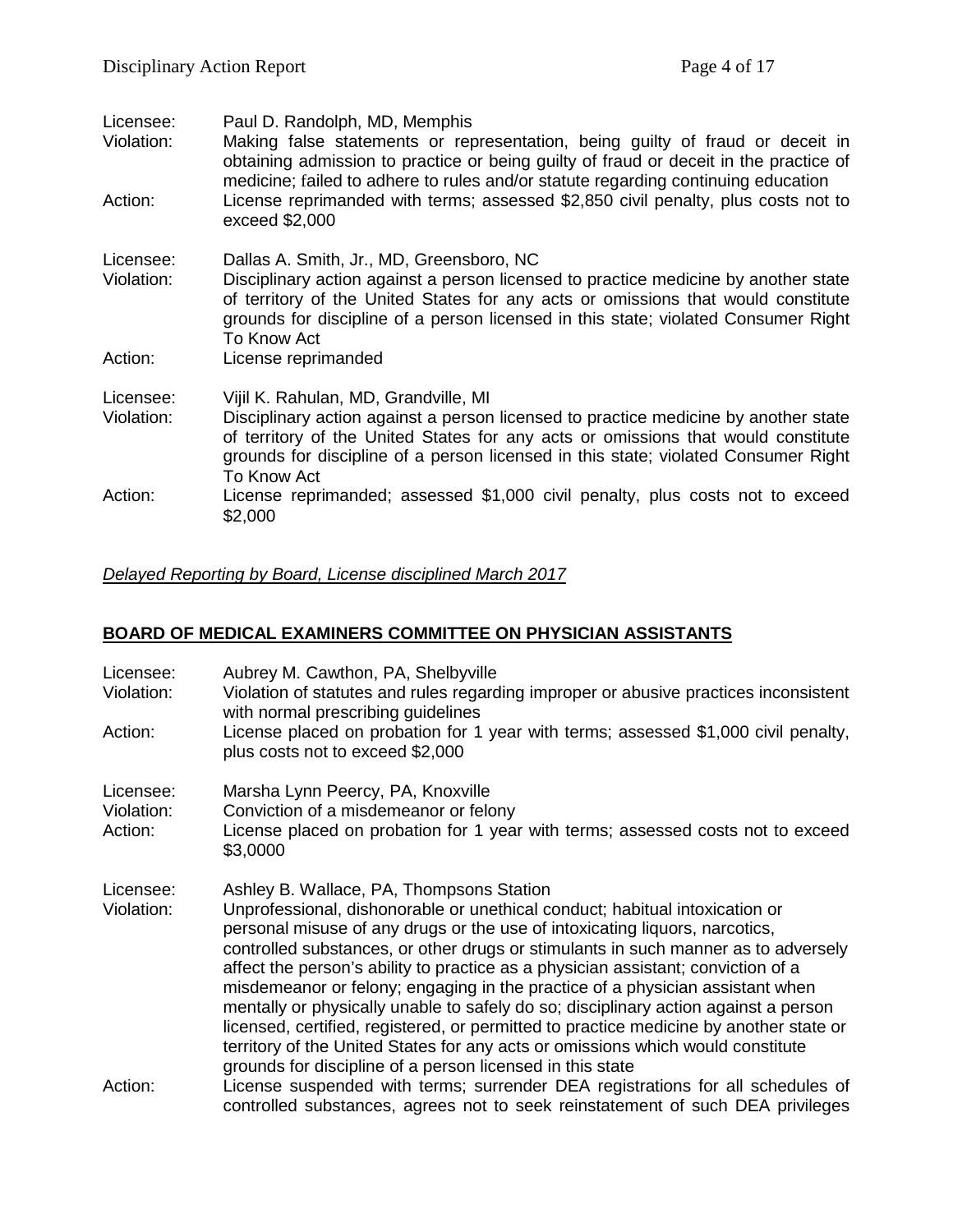| Violation:<br>medicine; failed to adhere to rules and/or statute regarding continuing education<br>Action:<br>exceed \$2,000<br>Dallas A. Smith, Jr., MD, Greensboro, NC<br>Licensee:<br>Violation:<br>To Know Act<br>License reprimanded<br>Action:<br>Licensee:<br>Vijil K. Rahulan, MD, Grandville, MI<br>Violation:<br>To Know Act<br>Action:<br>\$2,000 | Licensee: | Paul D. Randolph, MD, Memphis                                                                                                                                                                                                                                  |
|--------------------------------------------------------------------------------------------------------------------------------------------------------------------------------------------------------------------------------------------------------------------------------------------------------------------------------------------------------------|-----------|----------------------------------------------------------------------------------------------------------------------------------------------------------------------------------------------------------------------------------------------------------------|
|                                                                                                                                                                                                                                                                                                                                                              |           | Making false statements or representation, being guilty of fraud or deceit in<br>obtaining admission to practice or being guilty of fraud or deceit in the practice of                                                                                         |
|                                                                                                                                                                                                                                                                                                                                                              |           | License reprimanded with terms; assessed \$2,850 civil penalty, plus costs not to                                                                                                                                                                              |
|                                                                                                                                                                                                                                                                                                                                                              |           |                                                                                                                                                                                                                                                                |
|                                                                                                                                                                                                                                                                                                                                                              |           | Disciplinary action against a person licensed to practice medicine by another state<br>of territory of the United States for any acts or omissions that would constitute<br>grounds for discipline of a person licensed in this state; violated Consumer Right |
|                                                                                                                                                                                                                                                                                                                                                              |           |                                                                                                                                                                                                                                                                |
|                                                                                                                                                                                                                                                                                                                                                              |           |                                                                                                                                                                                                                                                                |
|                                                                                                                                                                                                                                                                                                                                                              |           | Disciplinary action against a person licensed to practice medicine by another state<br>of territory of the United States for any acts or omissions that would constitute<br>grounds for discipline of a person licensed in this state; violated Consumer Right |
|                                                                                                                                                                                                                                                                                                                                                              |           | License reprimanded; assessed \$1,000 civil penalty, plus costs not to exceed                                                                                                                                                                                  |

# *Delayed Reporting by Board, License disciplined March 2017*

# **BOARD OF MEDICAL EXAMINERS COMMITTEE ON PHYSICIAN ASSISTANTS**

| Licensee:<br>Violation:<br>Action: | Aubrey M. Cawthon, PA, Shelbyville<br>Violation of statutes and rules regarding improper or abusive practices inconsistent<br>with normal prescribing guidelines                                                                                                                                                                                                                                                                                                                                                                                                                                                                                                                                                                                                                                    |
|------------------------------------|-----------------------------------------------------------------------------------------------------------------------------------------------------------------------------------------------------------------------------------------------------------------------------------------------------------------------------------------------------------------------------------------------------------------------------------------------------------------------------------------------------------------------------------------------------------------------------------------------------------------------------------------------------------------------------------------------------------------------------------------------------------------------------------------------------|
|                                    | License placed on probation for 1 year with terms; assessed \$1,000 civil penalty,<br>plus costs not to exceed \$2,000                                                                                                                                                                                                                                                                                                                                                                                                                                                                                                                                                                                                                                                                              |
| Licensee:<br>Violation:<br>Action: | Marsha Lynn Peercy, PA, Knoxville<br>Conviction of a misdemeanor or felony<br>License placed on probation for 1 year with terms; assessed costs not to exceed<br>\$3,0000                                                                                                                                                                                                                                                                                                                                                                                                                                                                                                                                                                                                                           |
| Licensee:<br>Violation:            | Ashley B. Wallace, PA, Thompsons Station<br>Unprofessional, dishonorable or unethical conduct; habitual intoxication or<br>personal misuse of any drugs or the use of intoxicating liquors, narcotics,<br>controlled substances, or other drugs or stimulants in such manner as to adversely<br>affect the person's ability to practice as a physician assistant; conviction of a<br>misdemeanor or felony; engaging in the practice of a physician assistant when<br>mentally or physically unable to safely do so; disciplinary action against a person<br>licensed, certified, registered, or permitted to practice medicine by another state or<br>territory of the United States for any acts or omissions which would constitute<br>grounds for discipline of a person licensed in this state |
| Action:                            | License suspended with terms; surrender DEA registrations for all schedules of<br>controlled substances, agrees not to seek reinstatement of such DEA privileges                                                                                                                                                                                                                                                                                                                                                                                                                                                                                                                                                                                                                                    |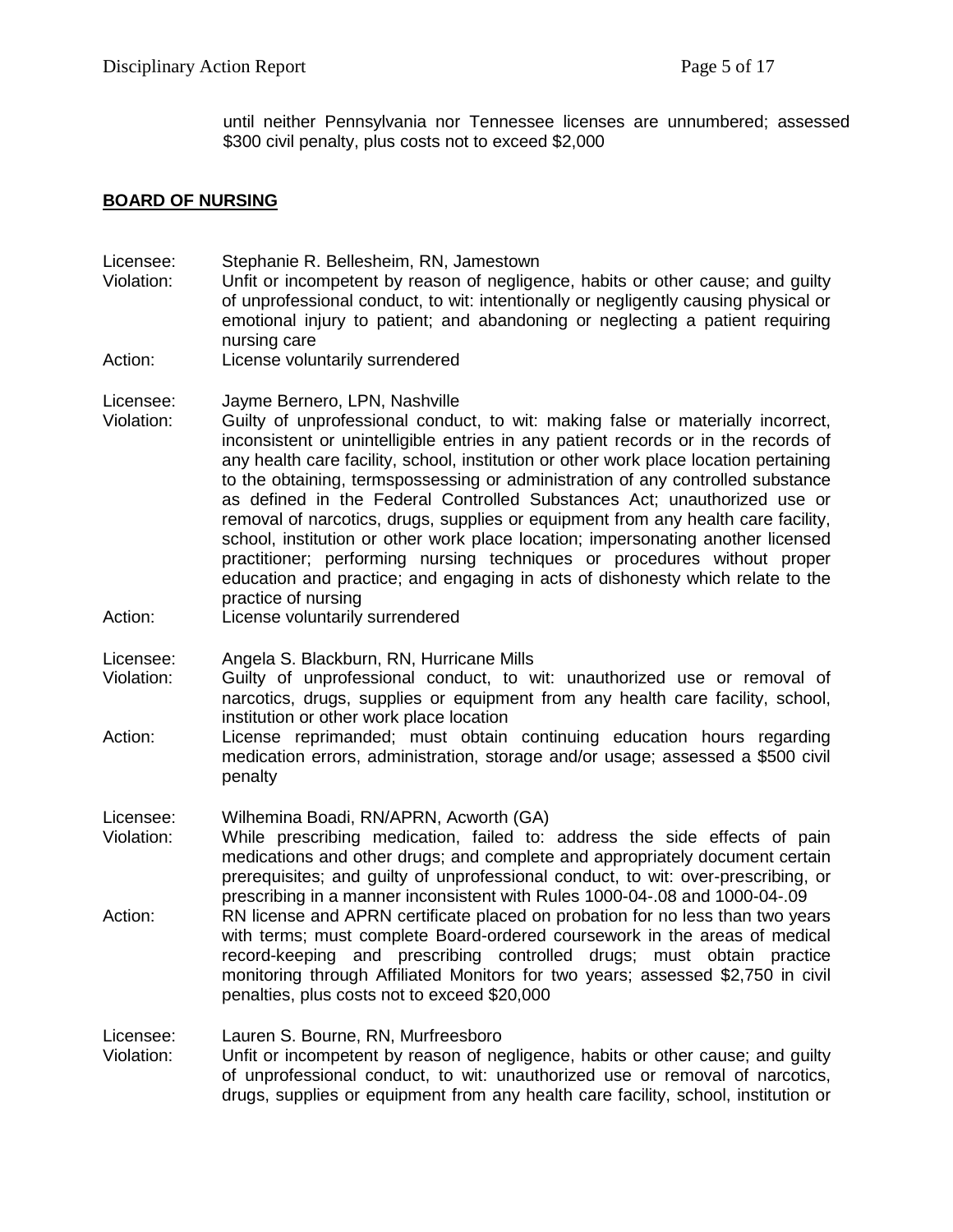until neither Pennsylvania nor Tennessee licenses are unnumbered; assessed \$300 civil penalty, plus costs not to exceed \$2,000

#### **BOARD OF NURSING**

- Licensee: Stephanie R. Bellesheim, RN, Jamestown Violation: Unfit or incompetent by reason of negligence, habits or other cause; and guilty of unprofessional conduct, to wit: intentionally or negligently causing physical or
- emotional injury to patient; and abandoning or neglecting a patient requiring nursing care
- Action: License voluntarily surrendered
- Licensee: Jayme Bernero, LPN, Nashville
- Violation: Guilty of unprofessional conduct, to wit: making false or materially incorrect, inconsistent or unintelligible entries in any patient records or in the records of any health care facility, school, institution or other work place location pertaining to the obtaining, termspossessing or administration of any controlled substance as defined in the Federal Controlled Substances Act; unauthorized use or removal of narcotics, drugs, supplies or equipment from any health care facility, school, institution or other work place location; impersonating another licensed practitioner; performing nursing techniques or procedures without proper education and practice; and engaging in acts of dishonesty which relate to the practice of nursing
- Action: License voluntarily surrendered
- Licensee: Angela S. Blackburn, RN, Hurricane Mills
- Guilty of unprofessional conduct, to wit: unauthorized use or removal of narcotics, drugs, supplies or equipment from any health care facility, school, institution or other work place location
- Action: License reprimanded; must obtain continuing education hours regarding medication errors, administration, storage and/or usage; assessed a \$500 civil penalty
- Licensee: Wilhemina Boadi, RN/APRN, Acworth (GA)
- Violation: While prescribing medication, failed to: address the side effects of pain medications and other drugs; and complete and appropriately document certain prerequisites; and guilty of unprofessional conduct, to wit: over-prescribing, or prescribing in a manner inconsistent with Rules 1000-04-.08 and 1000-04-.09
- Action: RN license and APRN certificate placed on probation for no less than two years with terms; must complete Board-ordered coursework in the areas of medical record-keeping and prescribing controlled drugs; must obtain practice monitoring through Affiliated Monitors for two years; assessed \$2,750 in civil penalties, plus costs not to exceed \$20,000

Licensee: Lauren S. Bourne, RN, Murfreesboro

Violation: Unfit or incompetent by reason of negligence, habits or other cause; and guilty of unprofessional conduct, to wit: unauthorized use or removal of narcotics, drugs, supplies or equipment from any health care facility, school, institution or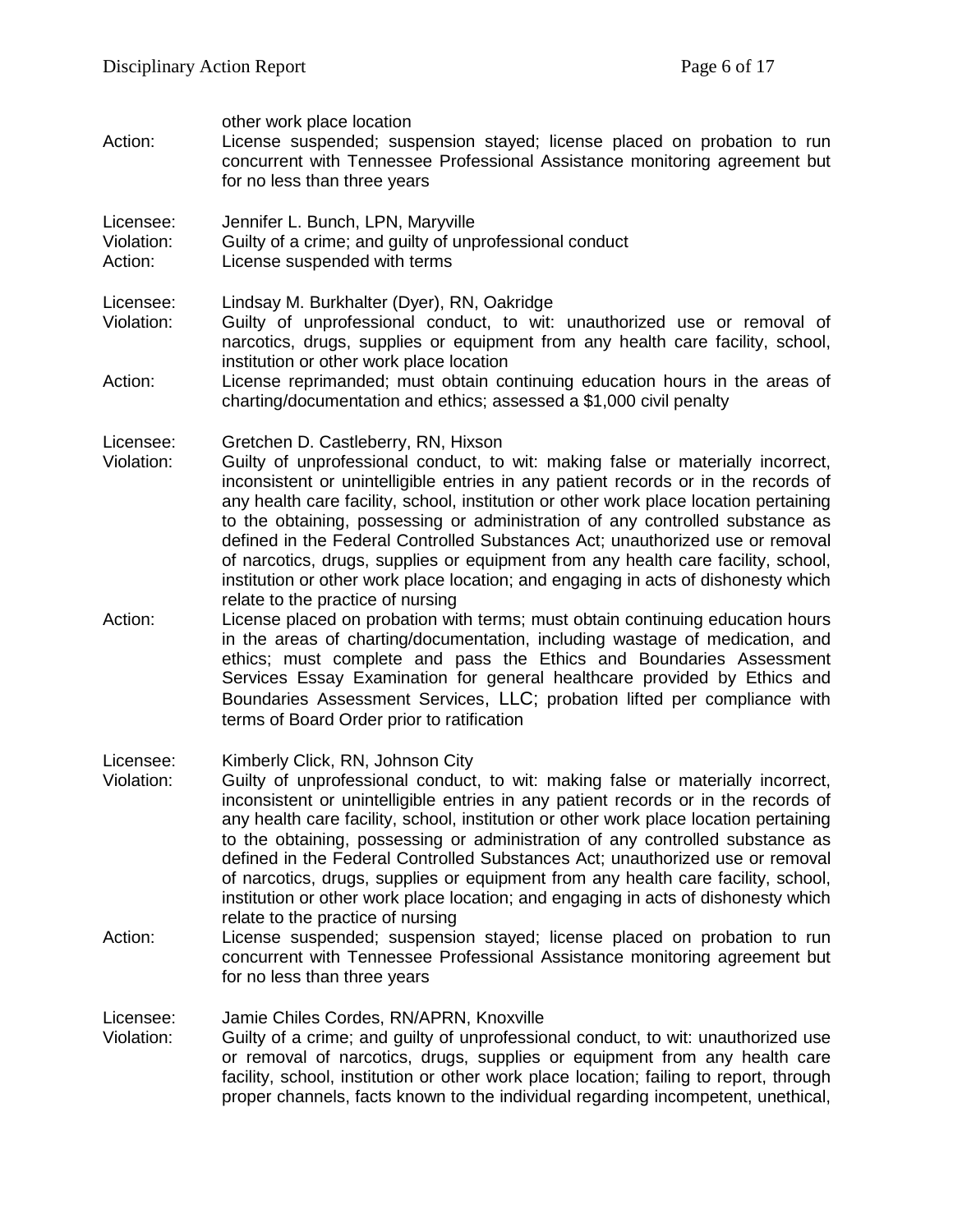| Action:                            | other work place location<br>License suspended; suspension stayed; license placed on probation to run<br>concurrent with Tennessee Professional Assistance monitoring agreement but<br>for no less than three years                                                                                                                                                                                                                                                                                                                                                                                                                                                                     |
|------------------------------------|-----------------------------------------------------------------------------------------------------------------------------------------------------------------------------------------------------------------------------------------------------------------------------------------------------------------------------------------------------------------------------------------------------------------------------------------------------------------------------------------------------------------------------------------------------------------------------------------------------------------------------------------------------------------------------------------|
| Licensee:<br>Violation:<br>Action: | Jennifer L. Bunch, LPN, Maryville<br>Guilty of a crime; and guilty of unprofessional conduct<br>License suspended with terms                                                                                                                                                                                                                                                                                                                                                                                                                                                                                                                                                            |
| Licensee:<br>Violation:            | Lindsay M. Burkhalter (Dyer), RN, Oakridge<br>Guilty of unprofessional conduct, to wit: unauthorized use or removal of<br>narcotics, drugs, supplies or equipment from any health care facility, school,<br>institution or other work place location                                                                                                                                                                                                                                                                                                                                                                                                                                    |
| Action:                            | License reprimanded; must obtain continuing education hours in the areas of<br>charting/documentation and ethics; assessed a \$1,000 civil penalty                                                                                                                                                                                                                                                                                                                                                                                                                                                                                                                                      |
| Licensee:<br>Violation:            | Gretchen D. Castleberry, RN, Hixson<br>Guilty of unprofessional conduct, to wit: making false or materially incorrect,<br>inconsistent or unintelligible entries in any patient records or in the records of<br>any health care facility, school, institution or other work place location pertaining<br>to the obtaining, possessing or administration of any controlled substance as<br>defined in the Federal Controlled Substances Act; unauthorized use or removal<br>of narcotics, drugs, supplies or equipment from any health care facility, school,<br>institution or other work place location; and engaging in acts of dishonesty which<br>relate to the practice of nursing |
| Action:                            | License placed on probation with terms; must obtain continuing education hours<br>in the areas of charting/documentation, including wastage of medication, and<br>ethics; must complete and pass the Ethics and Boundaries Assessment<br>Services Essay Examination for general healthcare provided by Ethics and<br>Boundaries Assessment Services, LLC; probation lifted per compliance with<br>terms of Board Order prior to ratification                                                                                                                                                                                                                                            |
| Licensee:<br>Violation:            | Kimberly Click, RN, Johnson City<br>Guilty of unprofessional conduct, to wit: making false or materially incorrect,<br>inconsistent or unintelligible entries in any patient records or in the records of<br>any health care facility, school, institution or other work place location pertaining<br>to the obtaining, possessing or administration of any controlled substance as<br>defined in the Federal Controlled Substances Act; unauthorized use or removal<br>of narcotics, drugs, supplies or equipment from any health care facility, school,<br>institution or other work place location; and engaging in acts of dishonesty which<br>relate to the practice of nursing    |
| Action:                            | License suspended; suspension stayed; license placed on probation to run<br>concurrent with Tennessee Professional Assistance monitoring agreement but<br>for no less than three years                                                                                                                                                                                                                                                                                                                                                                                                                                                                                                  |
| Licensee:<br>Violation:            | Jamie Chiles Cordes, RN/APRN, Knoxville<br>Guilty of a crime; and guilty of unprofessional conduct, to wit: unauthorized use<br>or removal of narcotics, drugs, supplies or equipment from any health care<br>facility, school, institution or other work place location; failing to report, through<br>proper channels, facts known to the individual regarding incompetent, unethical,                                                                                                                                                                                                                                                                                                |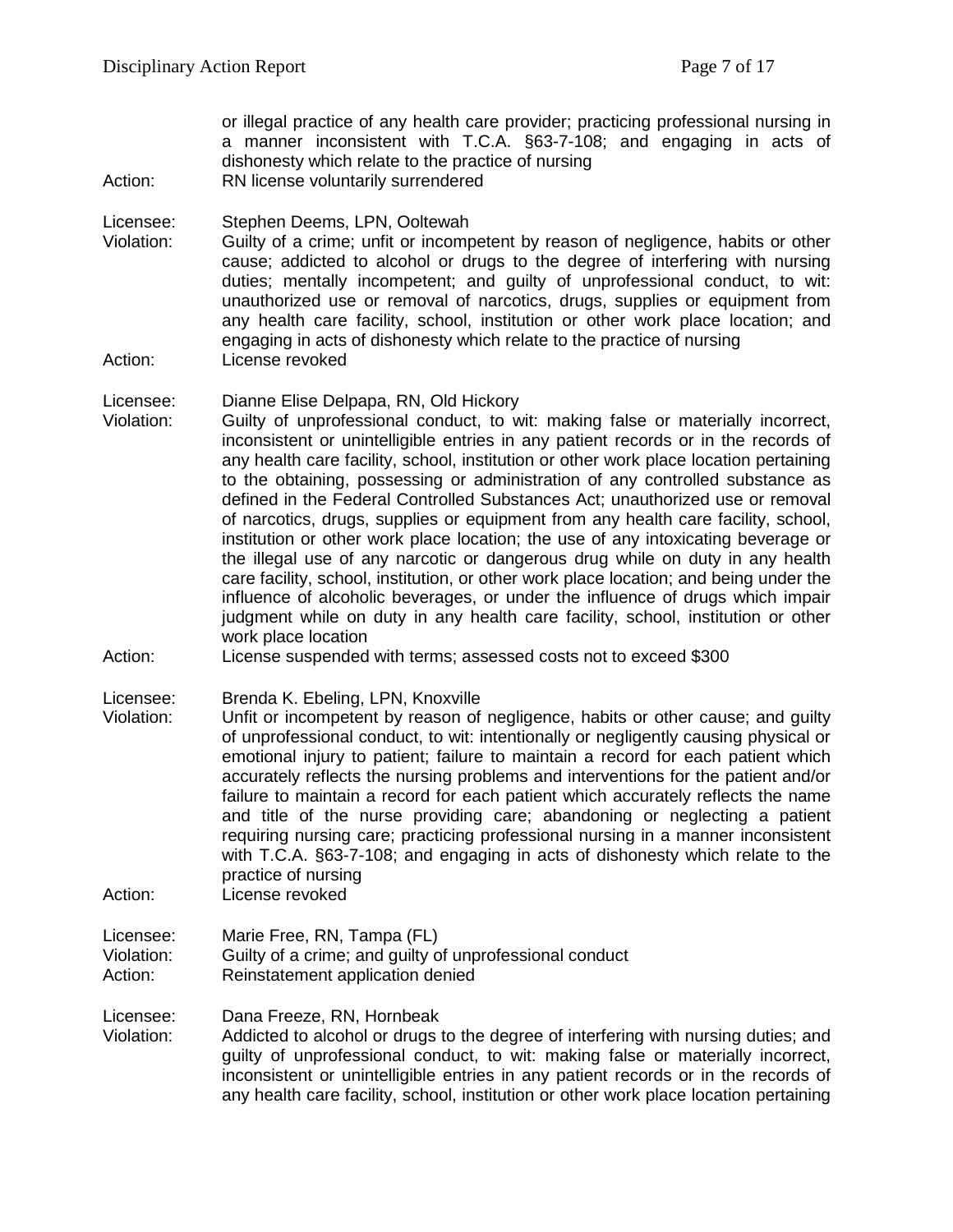or illegal practice of any health care provider; practicing professional nursing in a manner inconsistent with T.C.A. §63-7-108; and engaging in acts of dishonesty which relate to the practice of nursing

Action: RN license voluntarily surrendered

Licensee: Stephen Deems, LPN, Ooltewah<br>Violation: Guilty of a crime: unfit or incomp

Guilty of a crime; unfit or incompetent by reason of negligence, habits or other cause; addicted to alcohol or drugs to the degree of interfering with nursing duties; mentally incompetent; and guilty of unprofessional conduct, to wit: unauthorized use or removal of narcotics, drugs, supplies or equipment from any health care facility, school, institution or other work place location; and engaging in acts of dishonesty which relate to the practice of nursing Action: License revoked

#### Licensee: Dianne Elise Delpapa, RN, Old Hickory

- Violation: Guilty of unprofessional conduct, to wit: making false or materially incorrect, inconsistent or unintelligible entries in any patient records or in the records of any health care facility, school, institution or other work place location pertaining to the obtaining, possessing or administration of any controlled substance as defined in the Federal Controlled Substances Act; unauthorized use or removal of narcotics, drugs, supplies or equipment from any health care facility, school, institution or other work place location; the use of any intoxicating beverage or the illegal use of any narcotic or dangerous drug while on duty in any health care facility, school, institution, or other work place location; and being under the influence of alcoholic beverages, or under the influence of drugs which impair judgment while on duty in any health care facility, school, institution or other work place location
- Action: License suspended with terms; assessed costs not to exceed \$300
- Licensee: Brenda K. Ebeling, LPN, Knoxville
- Violation: Unfit or incompetent by reason of negligence, habits or other cause; and guilty of unprofessional conduct, to wit: intentionally or negligently causing physical or emotional injury to patient; failure to maintain a record for each patient which accurately reflects the nursing problems and interventions for the patient and/or failure to maintain a record for each patient which accurately reflects the name and title of the nurse providing care; abandoning or neglecting a patient requiring nursing care; practicing professional nursing in a manner inconsistent with T.C.A. §63-7-108; and engaging in acts of dishonesty which relate to the practice of nursing

Action: License revoked

### Licensee: Marie Free, RN, Tampa (FL) Violation: Guilty of a crime; and guilty of unprofessional conduct Action: Reinstatement application denied

Licensee: Dana Freeze, RN, Hornbeak

Violation: Addicted to alcohol or drugs to the degree of interfering with nursing duties; and guilty of unprofessional conduct, to wit: making false or materially incorrect, inconsistent or unintelligible entries in any patient records or in the records of any health care facility, school, institution or other work place location pertaining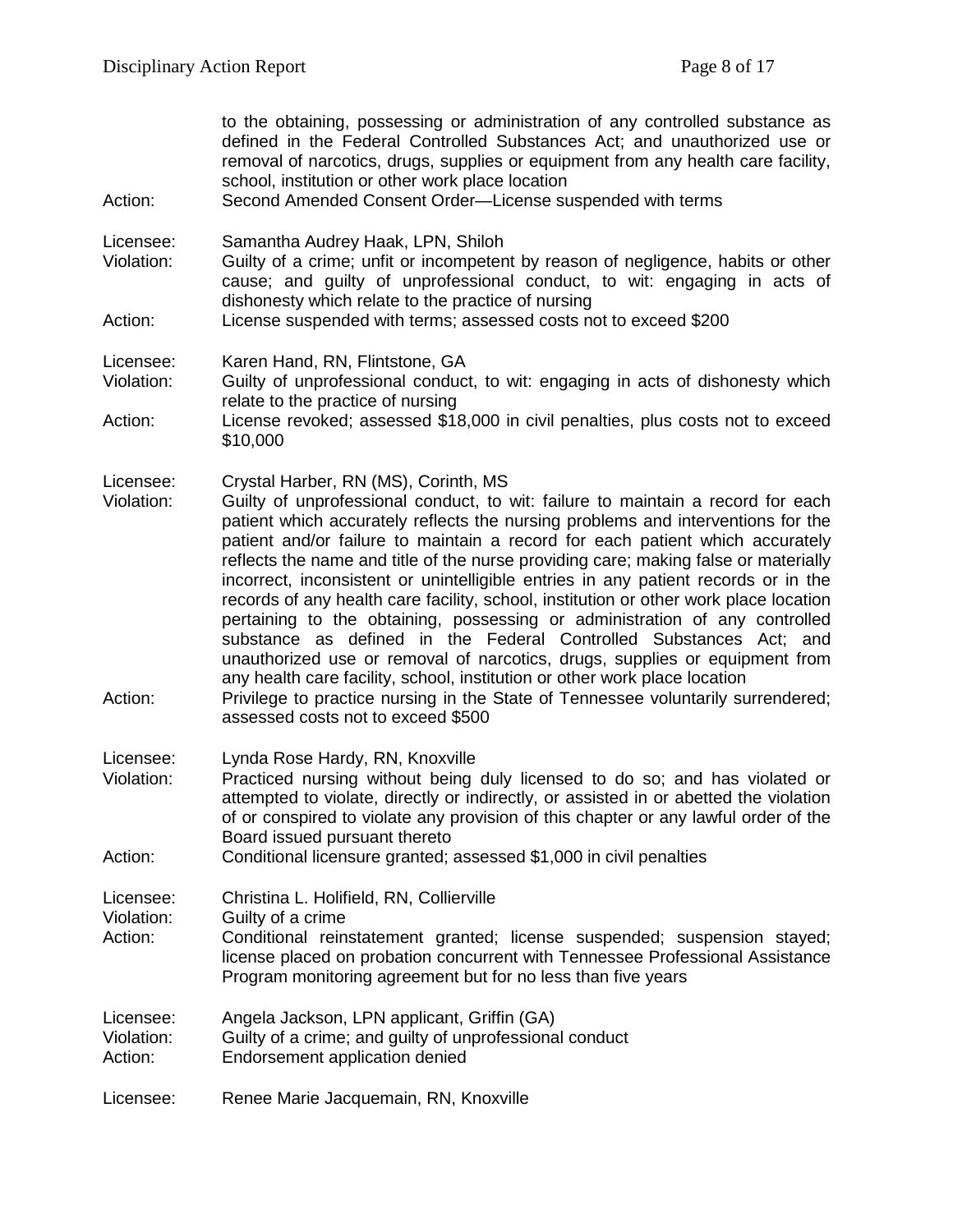|                                    | to the obtaining, possessing or administration of any controlled substance as<br>defined in the Federal Controlled Substances Act; and unauthorized use or<br>removal of narcotics, drugs, supplies or equipment from any health care facility,<br>school, institution or other work place location                                                                                                                                                                                                                                                                                                                                                                                                                                                                                                                                                                                                                                                                                                            |
|------------------------------------|----------------------------------------------------------------------------------------------------------------------------------------------------------------------------------------------------------------------------------------------------------------------------------------------------------------------------------------------------------------------------------------------------------------------------------------------------------------------------------------------------------------------------------------------------------------------------------------------------------------------------------------------------------------------------------------------------------------------------------------------------------------------------------------------------------------------------------------------------------------------------------------------------------------------------------------------------------------------------------------------------------------|
| Action:                            | Second Amended Consent Order-License suspended with terms                                                                                                                                                                                                                                                                                                                                                                                                                                                                                                                                                                                                                                                                                                                                                                                                                                                                                                                                                      |
| Licensee:<br>Violation:            | Samantha Audrey Haak, LPN, Shiloh<br>Guilty of a crime; unfit or incompetent by reason of negligence, habits or other<br>cause; and guilty of unprofessional conduct, to wit: engaging in acts of<br>dishonesty which relate to the practice of nursing                                                                                                                                                                                                                                                                                                                                                                                                                                                                                                                                                                                                                                                                                                                                                        |
| Action:                            | License suspended with terms; assessed costs not to exceed \$200                                                                                                                                                                                                                                                                                                                                                                                                                                                                                                                                                                                                                                                                                                                                                                                                                                                                                                                                               |
| Licensee:<br>Violation:            | Karen Hand, RN, Flintstone, GA<br>Guilty of unprofessional conduct, to wit: engaging in acts of dishonesty which<br>relate to the practice of nursing                                                                                                                                                                                                                                                                                                                                                                                                                                                                                                                                                                                                                                                                                                                                                                                                                                                          |
| Action:                            | License revoked; assessed \$18,000 in civil penalties, plus costs not to exceed<br>\$10,000                                                                                                                                                                                                                                                                                                                                                                                                                                                                                                                                                                                                                                                                                                                                                                                                                                                                                                                    |
| Licensee:<br>Violation:<br>Action: | Crystal Harber, RN (MS), Corinth, MS<br>Guilty of unprofessional conduct, to wit: failure to maintain a record for each<br>patient which accurately reflects the nursing problems and interventions for the<br>patient and/or failure to maintain a record for each patient which accurately<br>reflects the name and title of the nurse providing care; making false or materially<br>incorrect, inconsistent or unintelligible entries in any patient records or in the<br>records of any health care facility, school, institution or other work place location<br>pertaining to the obtaining, possessing or administration of any controlled<br>substance as defined in the Federal Controlled Substances Act; and<br>unauthorized use or removal of narcotics, drugs, supplies or equipment from<br>any health care facility, school, institution or other work place location<br>Privilege to practice nursing in the State of Tennessee voluntarily surrendered;<br>assessed costs not to exceed \$500 |
| Licensee:<br>Violation:<br>Action: | Lynda Rose Hardy, RN, Knoxville<br>Practiced nursing without being duly licensed to do so; and has violated or<br>attempted to violate, directly or indirectly, or assisted in or abetted the violation<br>of or conspired to violate any provision of this chapter or any lawful order of the<br>Board issued pursuant thereto<br>Conditional licensure granted; assessed \$1,000 in civil penalties                                                                                                                                                                                                                                                                                                                                                                                                                                                                                                                                                                                                          |
|                                    |                                                                                                                                                                                                                                                                                                                                                                                                                                                                                                                                                                                                                                                                                                                                                                                                                                                                                                                                                                                                                |
| Licensee:<br>Violation:<br>Action: | Christina L. Holifield, RN, Collierville<br>Guilty of a crime<br>Conditional reinstatement granted; license suspended; suspension stayed;<br>license placed on probation concurrent with Tennessee Professional Assistance<br>Program monitoring agreement but for no less than five years                                                                                                                                                                                                                                                                                                                                                                                                                                                                                                                                                                                                                                                                                                                     |
| Licensee:<br>Violation:<br>Action: | Angela Jackson, LPN applicant, Griffin (GA)<br>Guilty of a crime; and guilty of unprofessional conduct<br>Endorsement application denied                                                                                                                                                                                                                                                                                                                                                                                                                                                                                                                                                                                                                                                                                                                                                                                                                                                                       |
| Licensee:                          | Renee Marie Jacquemain, RN, Knoxville                                                                                                                                                                                                                                                                                                                                                                                                                                                                                                                                                                                                                                                                                                                                                                                                                                                                                                                                                                          |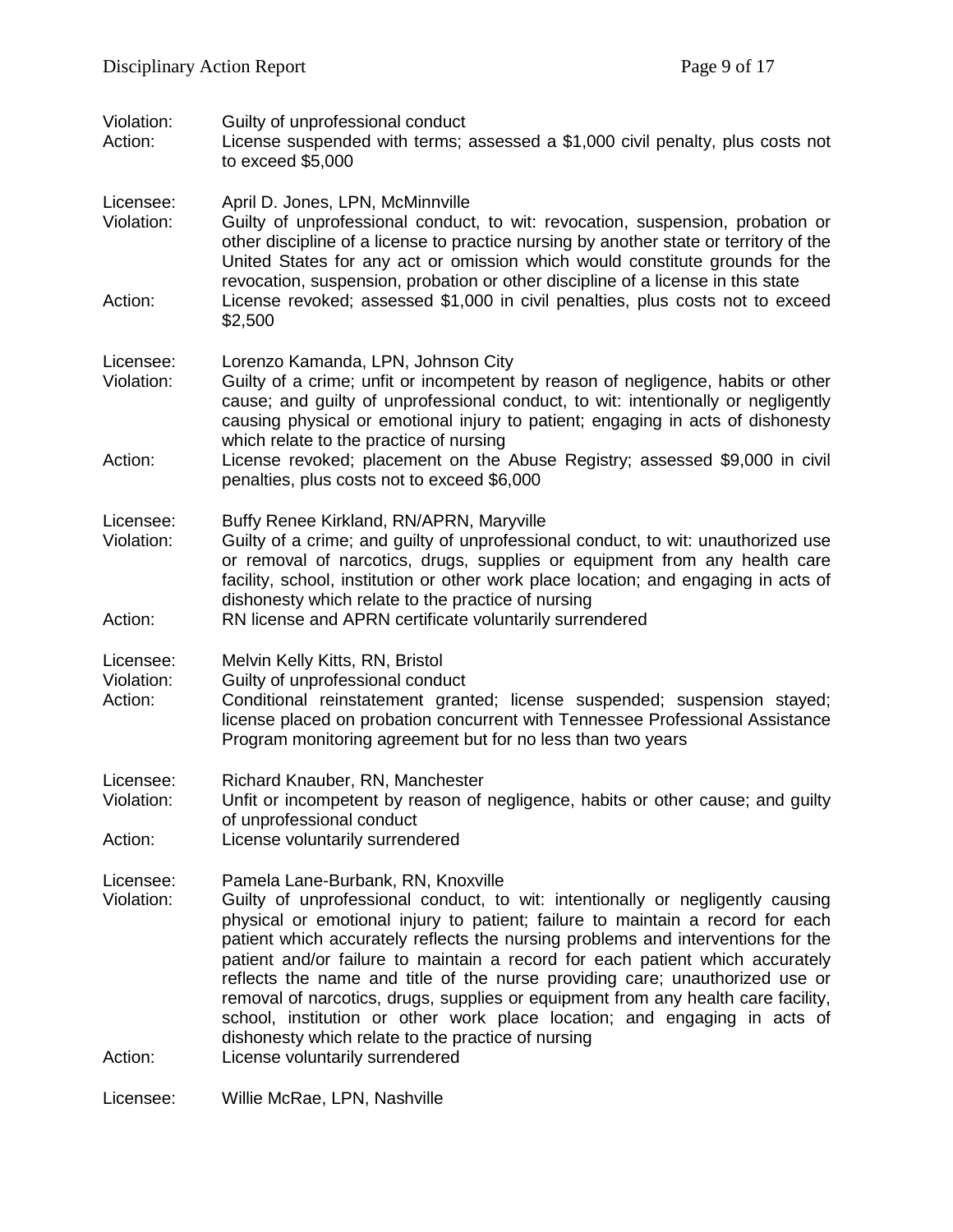| Violation:<br>Action:              | Guilty of unprofessional conduct<br>License suspended with terms; assessed a \$1,000 civil penalty, plus costs not<br>to exceed \$5,000                                                                                                                                                                                                                                                                                                                                                                                                                                                                                                                                                                                |
|------------------------------------|------------------------------------------------------------------------------------------------------------------------------------------------------------------------------------------------------------------------------------------------------------------------------------------------------------------------------------------------------------------------------------------------------------------------------------------------------------------------------------------------------------------------------------------------------------------------------------------------------------------------------------------------------------------------------------------------------------------------|
| Licensee:<br>Violation:<br>Action: | April D. Jones, LPN, McMinnville<br>Guilty of unprofessional conduct, to wit: revocation, suspension, probation or<br>other discipline of a license to practice nursing by another state or territory of the<br>United States for any act or omission which would constitute grounds for the<br>revocation, suspension, probation or other discipline of a license in this state<br>License revoked; assessed \$1,000 in civil penalties, plus costs not to exceed<br>\$2,500                                                                                                                                                                                                                                          |
| Licensee:<br>Violation:<br>Action: | Lorenzo Kamanda, LPN, Johnson City<br>Guilty of a crime; unfit or incompetent by reason of negligence, habits or other<br>cause; and guilty of unprofessional conduct, to wit: intentionally or negligently<br>causing physical or emotional injury to patient; engaging in acts of dishonesty<br>which relate to the practice of nursing<br>License revoked; placement on the Abuse Registry; assessed \$9,000 in civil                                                                                                                                                                                                                                                                                               |
|                                    | penalties, plus costs not to exceed \$6,000                                                                                                                                                                                                                                                                                                                                                                                                                                                                                                                                                                                                                                                                            |
| Licensee:<br>Violation:<br>Action: | Buffy Renee Kirkland, RN/APRN, Maryville<br>Guilty of a crime; and guilty of unprofessional conduct, to wit: unauthorized use<br>or removal of narcotics, drugs, supplies or equipment from any health care<br>facility, school, institution or other work place location; and engaging in acts of<br>dishonesty which relate to the practice of nursing<br>RN license and APRN certificate voluntarily surrendered                                                                                                                                                                                                                                                                                                    |
|                                    |                                                                                                                                                                                                                                                                                                                                                                                                                                                                                                                                                                                                                                                                                                                        |
| Licensee:<br>Violation:<br>Action: | Melvin Kelly Kitts, RN, Bristol<br>Guilty of unprofessional conduct<br>Conditional reinstatement granted; license suspended; suspension stayed;<br>license placed on probation concurrent with Tennessee Professional Assistance<br>Program monitoring agreement but for no less than two years                                                                                                                                                                                                                                                                                                                                                                                                                        |
| Licensee:<br>Violation:<br>Action: | Richard Knauber, RN, Manchester<br>Unfit or incompetent by reason of negligence, habits or other cause; and guilty<br>of unprofessional conduct<br>License voluntarily surrendered                                                                                                                                                                                                                                                                                                                                                                                                                                                                                                                                     |
| Licensee:<br>Violation:<br>Action: | Pamela Lane-Burbank, RN, Knoxville<br>Guilty of unprofessional conduct, to wit: intentionally or negligently causing<br>physical or emotional injury to patient; failure to maintain a record for each<br>patient which accurately reflects the nursing problems and interventions for the<br>patient and/or failure to maintain a record for each patient which accurately<br>reflects the name and title of the nurse providing care; unauthorized use or<br>removal of narcotics, drugs, supplies or equipment from any health care facility,<br>school, institution or other work place location; and engaging in acts of<br>dishonesty which relate to the practice of nursing<br>License voluntarily surrendered |
| Licensee:                          | Willie McRae, LPN, Nashville                                                                                                                                                                                                                                                                                                                                                                                                                                                                                                                                                                                                                                                                                           |
|                                    |                                                                                                                                                                                                                                                                                                                                                                                                                                                                                                                                                                                                                                                                                                                        |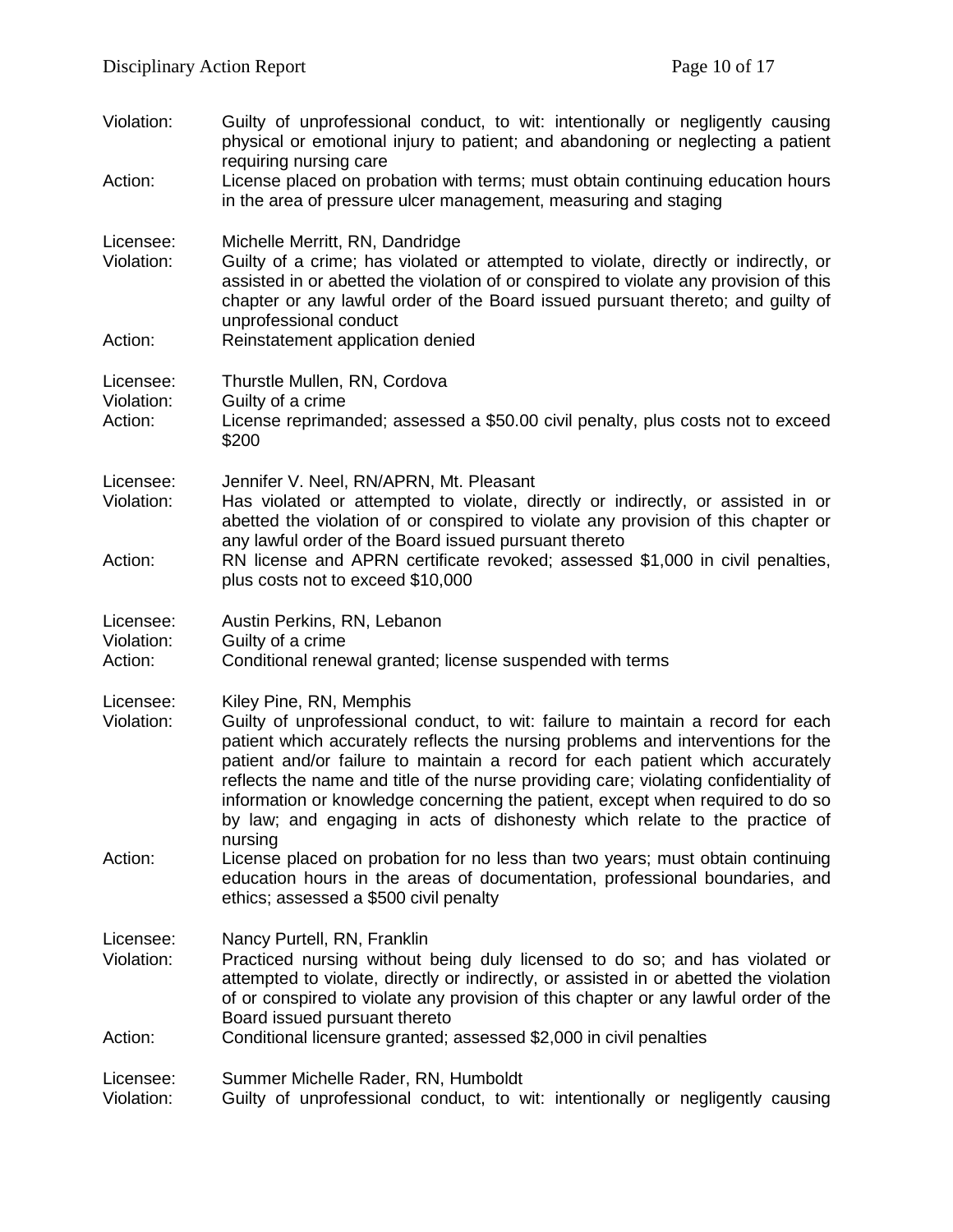| Violation:                         | Guilty of unprofessional conduct, to wit: intentionally or negligently causing<br>physical or emotional injury to patient; and abandoning or neglecting a patient<br>requiring nursing care                                                                                                                                                                                                                                                                                                                                                         |
|------------------------------------|-----------------------------------------------------------------------------------------------------------------------------------------------------------------------------------------------------------------------------------------------------------------------------------------------------------------------------------------------------------------------------------------------------------------------------------------------------------------------------------------------------------------------------------------------------|
| Action:                            | License placed on probation with terms; must obtain continuing education hours<br>in the area of pressure ulcer management, measuring and staging                                                                                                                                                                                                                                                                                                                                                                                                   |
| Licensee:<br>Violation:            | Michelle Merritt, RN, Dandridge<br>Guilty of a crime; has violated or attempted to violate, directly or indirectly, or<br>assisted in or abetted the violation of or conspired to violate any provision of this<br>chapter or any lawful order of the Board issued pursuant thereto; and guilty of<br>unprofessional conduct                                                                                                                                                                                                                        |
| Action:                            | Reinstatement application denied                                                                                                                                                                                                                                                                                                                                                                                                                                                                                                                    |
| Licensee:<br>Violation:<br>Action: | Thurstle Mullen, RN, Cordova<br>Guilty of a crime<br>License reprimanded; assessed a \$50.00 civil penalty, plus costs not to exceed                                                                                                                                                                                                                                                                                                                                                                                                                |
|                                    | \$200                                                                                                                                                                                                                                                                                                                                                                                                                                                                                                                                               |
| Licensee:<br>Violation:            | Jennifer V. Neel, RN/APRN, Mt. Pleasant<br>Has violated or attempted to violate, directly or indirectly, or assisted in or<br>abetted the violation of or conspired to violate any provision of this chapter or<br>any lawful order of the Board issued pursuant thereto                                                                                                                                                                                                                                                                            |
| Action:                            | RN license and APRN certificate revoked; assessed \$1,000 in civil penalties,<br>plus costs not to exceed \$10,000                                                                                                                                                                                                                                                                                                                                                                                                                                  |
| Licensee:                          | Austin Perkins, RN, Lebanon                                                                                                                                                                                                                                                                                                                                                                                                                                                                                                                         |
| Violation:<br>Action:              | Guilty of a crime<br>Conditional renewal granted; license suspended with terms                                                                                                                                                                                                                                                                                                                                                                                                                                                                      |
| Licensee:<br>Violation:            | Kiley Pine, RN, Memphis<br>Guilty of unprofessional conduct, to wit: failure to maintain a record for each<br>patient which accurately reflects the nursing problems and interventions for the<br>patient and/or failure to maintain a record for each patient which accurately<br>reflects the name and title of the nurse providing care; violating confidentiality of<br>information or knowledge concerning the patient, except when required to do so<br>by law; and engaging in acts of dishonesty which relate to the practice of<br>nursing |
| Action:                            | License placed on probation for no less than two years; must obtain continuing<br>education hours in the areas of documentation, professional boundaries, and<br>ethics; assessed a \$500 civil penalty                                                                                                                                                                                                                                                                                                                                             |
| Licensee:<br>Violation:            | Nancy Purtell, RN, Franklin<br>Practiced nursing without being duly licensed to do so; and has violated or<br>attempted to violate, directly or indirectly, or assisted in or abetted the violation                                                                                                                                                                                                                                                                                                                                                 |
| Action:                            | of or conspired to violate any provision of this chapter or any lawful order of the<br>Board issued pursuant thereto<br>Conditional licensure granted; assessed \$2,000 in civil penalties                                                                                                                                                                                                                                                                                                                                                          |
| Licensee:<br>Violation:            | Summer Michelle Rader, RN, Humboldt<br>Guilty of unprofessional conduct, to wit: intentionally or negligently causing                                                                                                                                                                                                                                                                                                                                                                                                                               |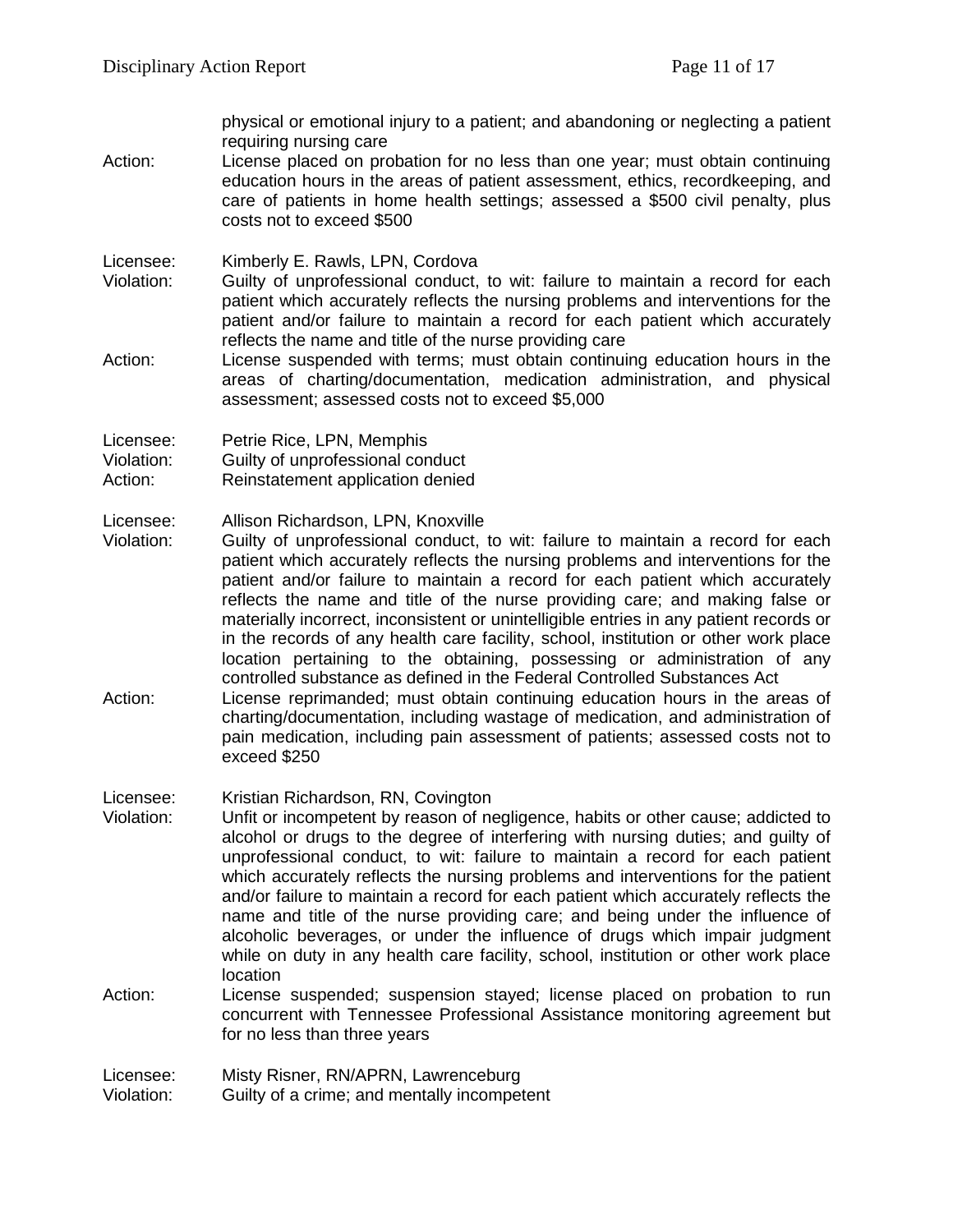physical or emotional injury to a patient; and abandoning or neglecting a patient requiring nursing care

Action: License placed on probation for no less than one year; must obtain continuing education hours in the areas of patient assessment, ethics, recordkeeping, and care of patients in home health settings; assessed a \$500 civil penalty, plus costs not to exceed \$500

Licensee: Kimberly E. Rawls, LPN, Cordova

- Violation: Guilty of unprofessional conduct, to wit: failure to maintain a record for each patient which accurately reflects the nursing problems and interventions for the patient and/or failure to maintain a record for each patient which accurately reflects the name and title of the nurse providing care
- Action: License suspended with terms; must obtain continuing education hours in the areas of charting/documentation, medication administration, and physical assessment; assessed costs not to exceed \$5,000

Licensee: Petrie Rice, LPN, Memphis

- Violation: Guilty of unprofessional conduct
- Action: Reinstatement application denied
- Licensee: Allison Richardson, LPN, Knoxville<br>Violation: Guilty of unprofessional conduct.
- Guilty of unprofessional conduct, to wit: failure to maintain a record for each patient which accurately reflects the nursing problems and interventions for the patient and/or failure to maintain a record for each patient which accurately reflects the name and title of the nurse providing care; and making false or materially incorrect, inconsistent or unintelligible entries in any patient records or in the records of any health care facility, school, institution or other work place location pertaining to the obtaining, possessing or administration of any controlled substance as defined in the Federal Controlled Substances Act Action: License reprimanded; must obtain continuing education hours in the areas of charting/documentation, including wastage of medication, and administration of pain medication, including pain assessment of patients; assessed costs not to exceed \$250
- Licensee: Kristian Richardson, RN, Covington
- Violation: Unfit or incompetent by reason of negligence, habits or other cause; addicted to alcohol or drugs to the degree of interfering with nursing duties; and guilty of unprofessional conduct, to wit: failure to maintain a record for each patient which accurately reflects the nursing problems and interventions for the patient and/or failure to maintain a record for each patient which accurately reflects the name and title of the nurse providing care; and being under the influence of alcoholic beverages, or under the influence of drugs which impair judgment while on duty in any health care facility, school, institution or other work place location
- Action: License suspended; suspension stayed; license placed on probation to run concurrent with Tennessee Professional Assistance monitoring agreement but for no less than three years

Licensee: Misty Risner, RN/APRN, Lawrenceburg Violation: Guilty of a crime; and mentally incompetent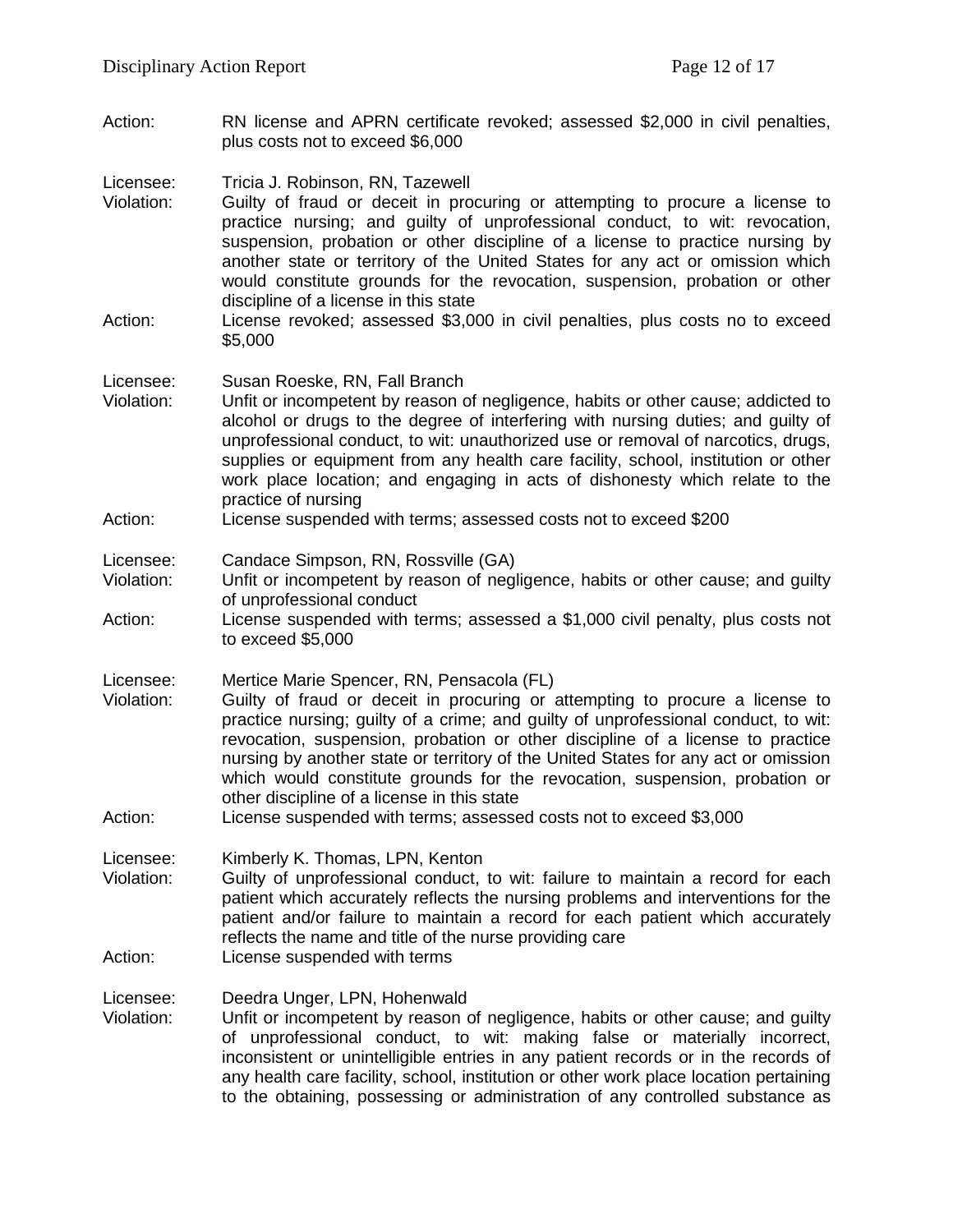Action: RN license and APRN certificate revoked; assessed \$2,000 in civil penalties, plus costs not to exceed \$6,000

Licensee: Tricia J. Robinson, RN, Tazewell

- Violation: Guilty of fraud or deceit in procuring or attempting to procure a license to practice nursing; and guilty of unprofessional conduct, to wit: revocation, suspension, probation or other discipline of a license to practice nursing by another state or territory of the United States for any act or omission which would constitute grounds for the revocation, suspension, probation or other discipline of a license in this state
- Action: License revoked; assessed \$3,000 in civil penalties, plus costs no to exceed \$5,000

# Licensee: Susan Roeske, RN, Fall Branch

- Violation: Unfit or incompetent by reason of negligence, habits or other cause; addicted to alcohol or drugs to the degree of interfering with nursing duties; and guilty of unprofessional conduct, to wit: unauthorized use or removal of narcotics, drugs, supplies or equipment from any health care facility, school, institution or other work place location; and engaging in acts of dishonesty which relate to the practice of nursing
- Action: License suspended with terms; assessed costs not to exceed \$200

Licensee: Candace Simpson, RN, Rossville (GA)

- Violation: Unfit or incompetent by reason of negligence, habits or other cause; and guilty of unprofessional conduct
- Action: License suspended with terms; assessed a \$1,000 civil penalty, plus costs not to exceed \$5,000
- Licensee: Mertice Marie Spencer, RN, Pensacola (FL)
- Violation: Guilty of fraud or deceit in procuring or attempting to procure a license to practice nursing; guilty of a crime; and guilty of unprofessional conduct, to wit: revocation, suspension, probation or other discipline of a license to practice nursing by another state or territory of the United States for any act or omission which would constitute grounds for the revocation, suspension, probation or other discipline of a license in this state
- Action: License suspended with terms; assessed costs not to exceed \$3,000

Licensee: Kimberly K. Thomas, LPN, Kenton

- Violation: Guilty of unprofessional conduct, to wit: failure to maintain a record for each patient which accurately reflects the nursing problems and interventions for the patient and/or failure to maintain a record for each patient which accurately reflects the name and title of the nurse providing care
- Action: License suspended with terms

Licensee: Deedra Unger, LPN, Hohenwald

Violation: Unfit or incompetent by reason of negligence, habits or other cause; and guilty of unprofessional conduct, to wit: making false or materially incorrect, inconsistent or unintelligible entries in any patient records or in the records of any health care facility, school, institution or other work place location pertaining to the obtaining, possessing or administration of any controlled substance as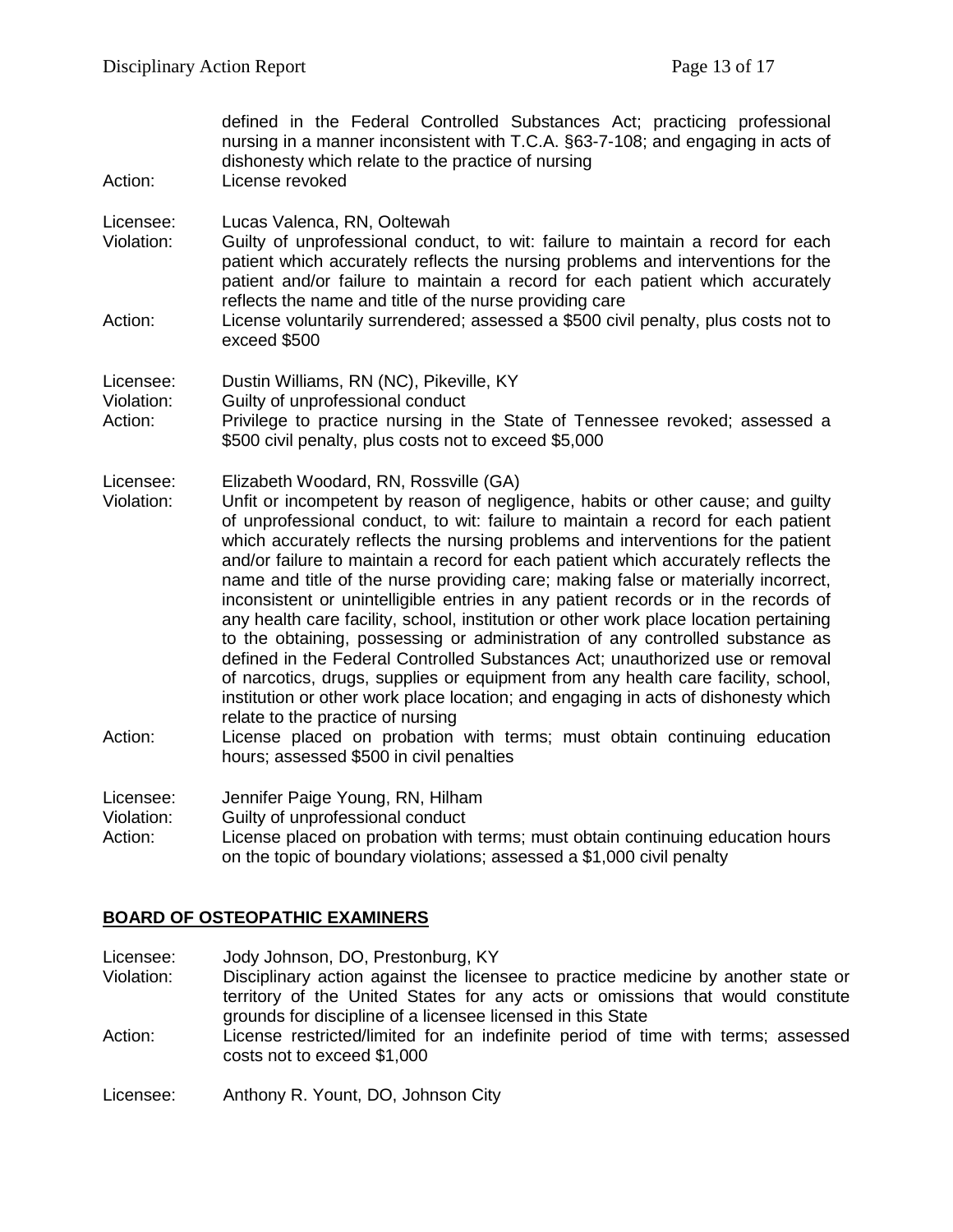| Action:                 | defined in the Federal Controlled Substances Act; practicing professional<br>nursing in a manner inconsistent with T.C.A. §63-7-108; and engaging in acts of<br>dishonesty which relate to the practice of nursing<br>License revoked                                                                                                                                                                                                                                                                                                                                                                                                                                                                                                                                                                                                                                                                                                                                                                                                        |
|-------------------------|----------------------------------------------------------------------------------------------------------------------------------------------------------------------------------------------------------------------------------------------------------------------------------------------------------------------------------------------------------------------------------------------------------------------------------------------------------------------------------------------------------------------------------------------------------------------------------------------------------------------------------------------------------------------------------------------------------------------------------------------------------------------------------------------------------------------------------------------------------------------------------------------------------------------------------------------------------------------------------------------------------------------------------------------|
| Licensee:<br>Violation: | Lucas Valenca, RN, Ooltewah<br>Guilty of unprofessional conduct, to wit: failure to maintain a record for each<br>patient which accurately reflects the nursing problems and interventions for the<br>patient and/or failure to maintain a record for each patient which accurately                                                                                                                                                                                                                                                                                                                                                                                                                                                                                                                                                                                                                                                                                                                                                          |
| Action:                 | reflects the name and title of the nurse providing care<br>License voluntarily surrendered; assessed a \$500 civil penalty, plus costs not to<br>exceed \$500                                                                                                                                                                                                                                                                                                                                                                                                                                                                                                                                                                                                                                                                                                                                                                                                                                                                                |
| Licensee:               | Dustin Williams, RN (NC), Pikeville, KY                                                                                                                                                                                                                                                                                                                                                                                                                                                                                                                                                                                                                                                                                                                                                                                                                                                                                                                                                                                                      |
| Violation:<br>Action:   | Guilty of unprofessional conduct<br>Privilege to practice nursing in the State of Tennessee revoked; assessed a<br>\$500 civil penalty, plus costs not to exceed \$5,000                                                                                                                                                                                                                                                                                                                                                                                                                                                                                                                                                                                                                                                                                                                                                                                                                                                                     |
| Licensee:<br>Violation: | Elizabeth Woodard, RN, Rossville (GA)<br>Unfit or incompetent by reason of negligence, habits or other cause; and guilty<br>of unprofessional conduct, to wit: failure to maintain a record for each patient<br>which accurately reflects the nursing problems and interventions for the patient<br>and/or failure to maintain a record for each patient which accurately reflects the<br>name and title of the nurse providing care; making false or materially incorrect,<br>inconsistent or unintelligible entries in any patient records or in the records of<br>any health care facility, school, institution or other work place location pertaining<br>to the obtaining, possessing or administration of any controlled substance as<br>defined in the Federal Controlled Substances Act; unauthorized use or removal<br>of narcotics, drugs, supplies or equipment from any health care facility, school,<br>institution or other work place location; and engaging in acts of dishonesty which<br>relate to the practice of nursing |
| Action:                 | License placed on probation with terms; must obtain continuing education<br>hours; assessed \$500 in civil penalties                                                                                                                                                                                                                                                                                                                                                                                                                                                                                                                                                                                                                                                                                                                                                                                                                                                                                                                         |
| Licensee:               | Jennifer Paige Young, RN, Hilham                                                                                                                                                                                                                                                                                                                                                                                                                                                                                                                                                                                                                                                                                                                                                                                                                                                                                                                                                                                                             |
| Violation:<br>Action:   | Guilty of unprofessional conduct<br>License placed on probation with terms; must obtain continuing education hours                                                                                                                                                                                                                                                                                                                                                                                                                                                                                                                                                                                                                                                                                                                                                                                                                                                                                                                           |

on the topic of boundary violations; assessed a \$1,000 civil penalty

### **BOARD OF OSTEOPATHIC EXAMINERS**

Licensee: Jody Johnson, DO, Prestonburg, KY<br>Violation: Disciplinary action against the licens

- Disciplinary action against the licensee to practice medicine by another state or territory of the United States for any acts or omissions that would constitute grounds for discipline of a licensee licensed in this State
- Action: License restricted/limited for an indefinite period of time with terms; assessed costs not to exceed \$1,000

Licensee: Anthony R. Yount, DO, Johnson City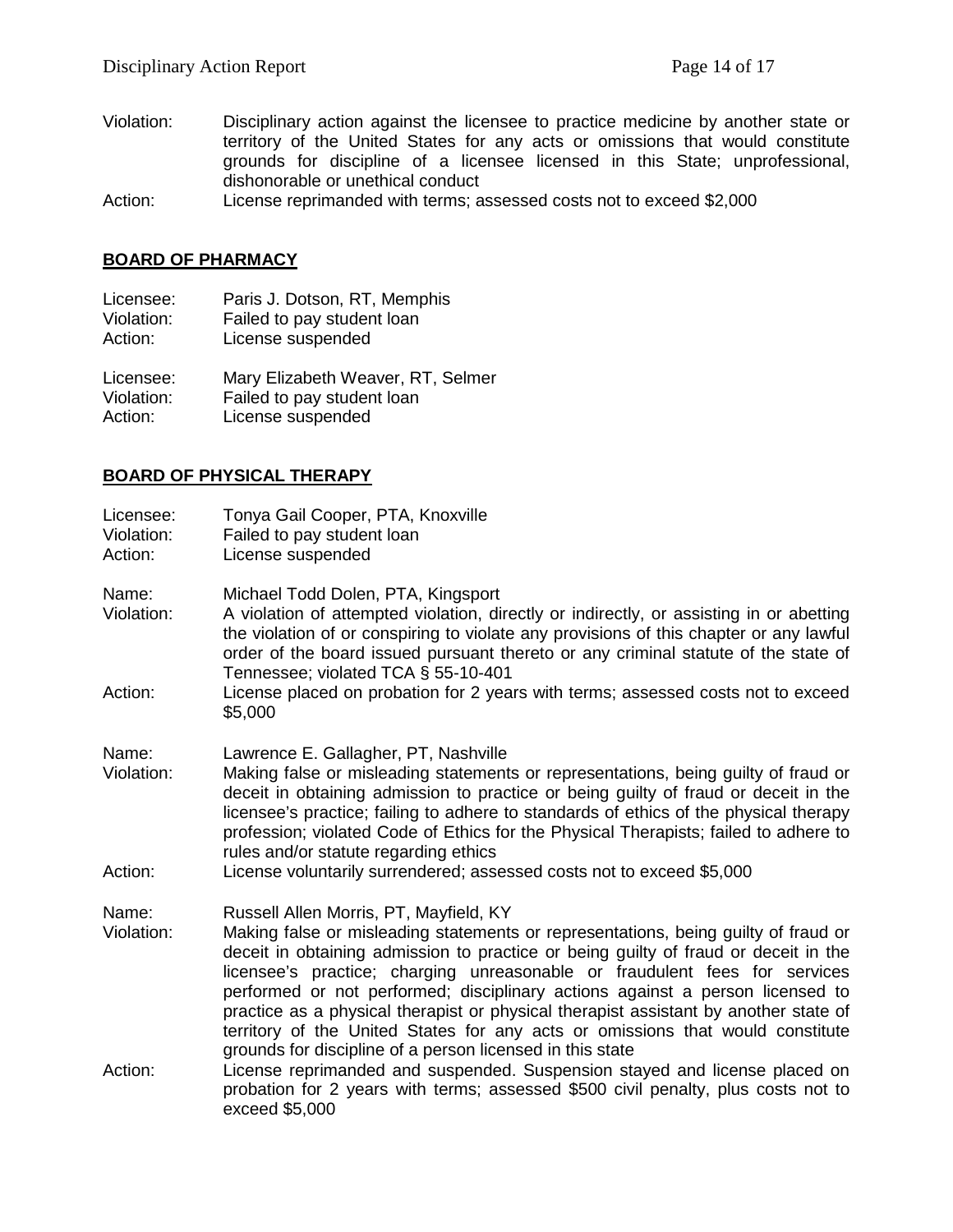- Violation: Disciplinary action against the licensee to practice medicine by another state or territory of the United States for any acts or omissions that would constitute grounds for discipline of a licensee licensed in this State; unprofessional, dishonorable or unethical conduct
- Action: License reprimanded with terms; assessed costs not to exceed \$2,000

#### **BOARD OF PHARMACY**

| Licensee:  | Paris J. Dotson, RT, Memphis      |
|------------|-----------------------------------|
| Violation: | Failed to pay student loan        |
| Action:    | License suspended                 |
| Licensee:  | Mary Elizabeth Weaver, RT, Selmer |
| Violation: | Failed to pay student loan        |

Action: License suspended

### **BOARD OF PHYSICAL THERAPY**

| Licensee:<br>Violation:<br>Action: | Tonya Gail Cooper, PTA, Knoxville<br>Failed to pay student loan<br>License suspended                                                                                                                                                                                                                                                                                                                                                                                                                                                                                                                                      |
|------------------------------------|---------------------------------------------------------------------------------------------------------------------------------------------------------------------------------------------------------------------------------------------------------------------------------------------------------------------------------------------------------------------------------------------------------------------------------------------------------------------------------------------------------------------------------------------------------------------------------------------------------------------------|
| Name:<br>Violation:                | Michael Todd Dolen, PTA, Kingsport<br>A violation of attempted violation, directly or indirectly, or assisting in or abetting<br>the violation of or conspiring to violate any provisions of this chapter or any lawful<br>order of the board issued pursuant thereto or any criminal statute of the state of                                                                                                                                                                                                                                                                                                             |
| Action:                            | Tennessee; violated TCA § 55-10-401<br>License placed on probation for 2 years with terms; assessed costs not to exceed<br>\$5,000                                                                                                                                                                                                                                                                                                                                                                                                                                                                                        |
| Name:<br>Violation:<br>Action:     | Lawrence E. Gallagher, PT, Nashville<br>Making false or misleading statements or representations, being guilty of fraud or<br>deceit in obtaining admission to practice or being guilty of fraud or deceit in the<br>licensee's practice; failing to adhere to standards of ethics of the physical therapy<br>profession; violated Code of Ethics for the Physical Therapists; failed to adhere to<br>rules and/or statute regarding ethics<br>License voluntarily surrendered; assessed costs not to exceed \$5,000                                                                                                      |
| Name:<br>Violation:                | Russell Allen Morris, PT, Mayfield, KY<br>Making false or misleading statements or representations, being guilty of fraud or<br>deceit in obtaining admission to practice or being guilty of fraud or deceit in the<br>licensee's practice; charging unreasonable or fraudulent fees for services<br>performed or not performed; disciplinary actions against a person licensed to<br>practice as a physical therapist or physical therapist assistant by another state of<br>territory of the United States for any acts or omissions that would constitute<br>grounds for discipline of a person licensed in this state |
| Action:                            | License reprimanded and suspended. Suspension stayed and license placed on<br>probation for 2 years with terms; assessed \$500 civil penalty, plus costs not to<br>exceed \$5,000                                                                                                                                                                                                                                                                                                                                                                                                                                         |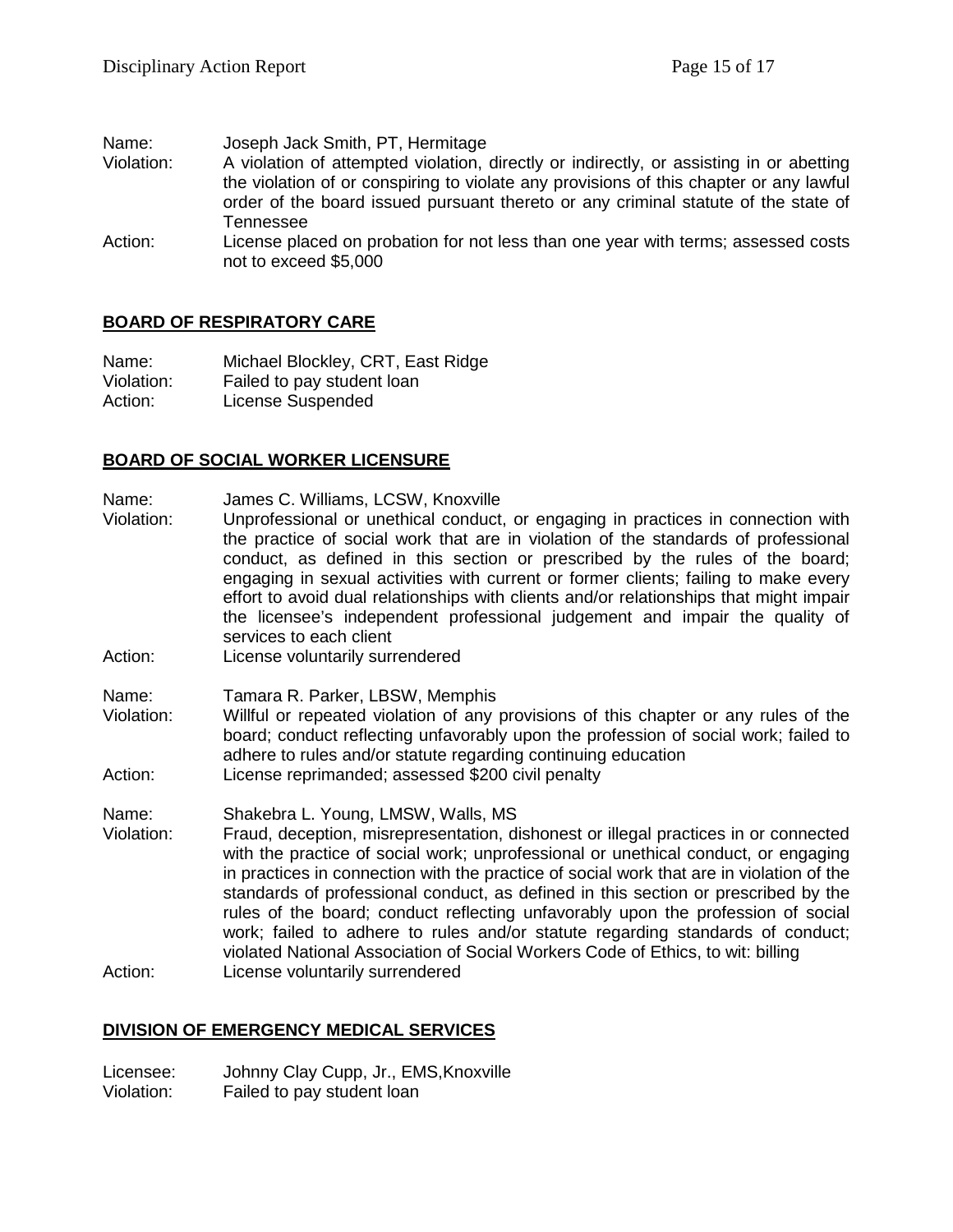| Name:      | Joseph Jack Smith, PT, Hermitage                                                                                                                                                  |
|------------|-----------------------------------------------------------------------------------------------------------------------------------------------------------------------------------|
| Violation: | A violation of attempted violation, directly or indirectly, or assisting in or abetting<br>the violation of or conspiring to violate any provisions of this chapter or any lawful |
|            | order of the board issued pursuant thereto or any criminal statute of the state of<br>Tennessee                                                                                   |
| Action:    | License placed on probation for not less than one year with terms; assessed costs<br>not to exceed \$5,000                                                                        |

# **BOARD OF RESPIRATORY CARE**

Name: Michael Blockley, CRT, East Ridge Violation: Failed to pay student loan Action: License Suspended

### **BOARD OF SOCIAL WORKER LICENSURE**

- Name: James C. Williams, LCSW, Knoxville
- Violation: Unprofessional or unethical conduct, or engaging in practices in connection with the practice of social work that are in violation of the standards of professional conduct, as defined in this section or prescribed by the rules of the board; engaging in sexual activities with current or former clients; failing to make every effort to avoid dual relationships with clients and/or relationships that might impair the licensee's independent professional judgement and impair the quality of services to each client
- Action: License voluntarily surrendered
- Name: Tamara R. Parker, LBSW, Memphis
- Violation: Willful or repeated violation of any provisions of this chapter or any rules of the board; conduct reflecting unfavorably upon the profession of social work; failed to adhere to rules and/or statute regarding continuing education
- Action: License reprimanded; assessed \$200 civil penalty
- Name: Shakebra L. Young, LMSW, Walls, MS Violation: Fraud, deception, misrepresentation, dishonest or illegal practices in or connected with the practice of social work; unprofessional or unethical conduct, or engaging in practices in connection with the practice of social work that are in violation of the standards of professional conduct, as defined in this section or prescribed by the rules of the board; conduct reflecting unfavorably upon the profession of social work; failed to adhere to rules and/or statute regarding standards of conduct;
- violated National Association of Social Workers Code of Ethics, to wit: billing Action: License voluntarily surrendered

# **DIVISION OF EMERGENCY MEDICAL SERVICES**

Licensee: Johnny Clay Cupp, Jr., EMS,Knoxville Violation: Failed to pay student loan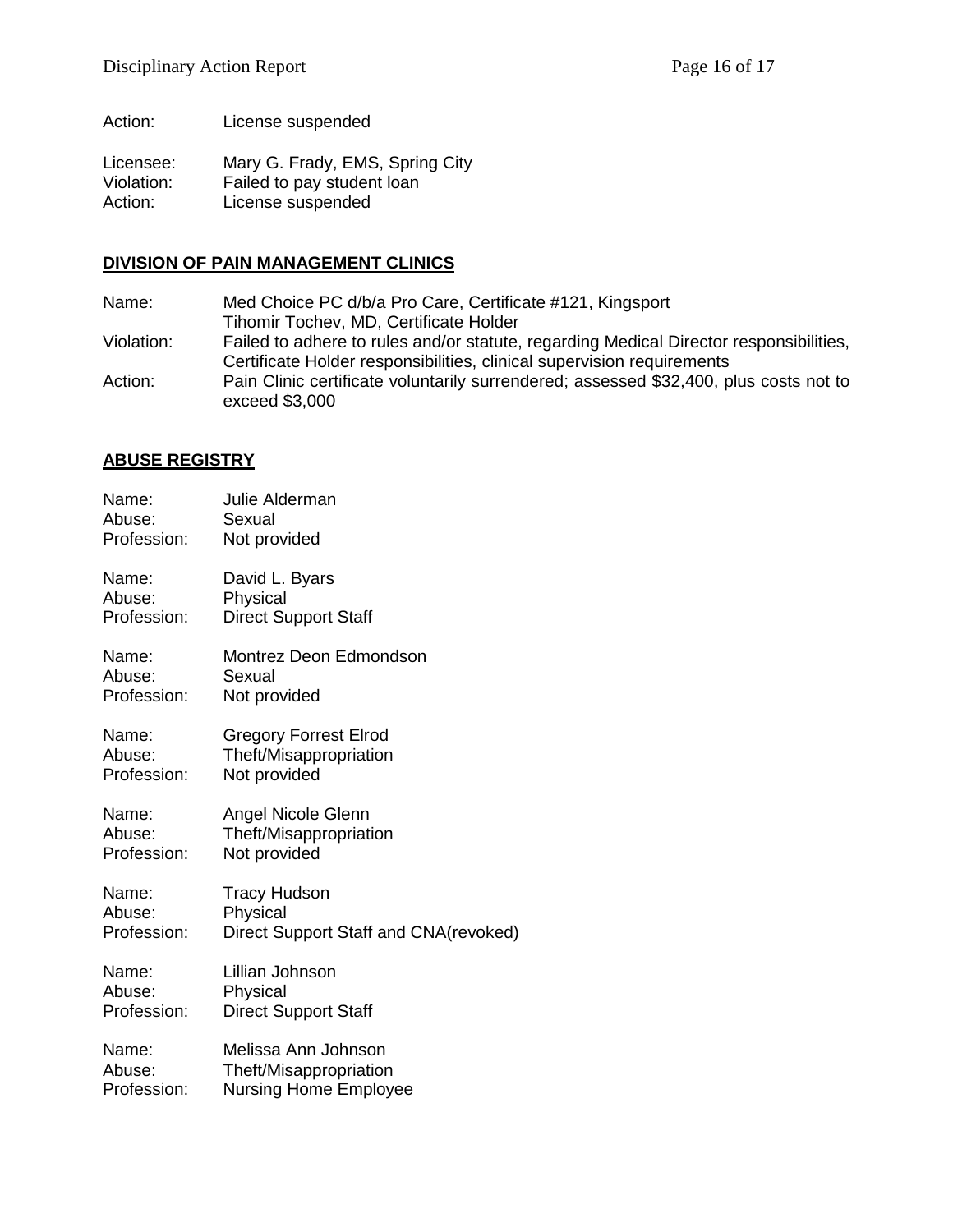Action: License suspended

Licensee: Mary G. Frady, EMS, Spring City<br>Violation: Failed to pay student loan Failed to pay student loan Action: License suspended

### **DIVISION OF PAIN MANAGEMENT CLINICS**

Name: Med Choice PC d/b/a Pro Care, Certificate #121, Kingsport Tihomir Tochev, MD, Certificate Holder Violation: Failed to adhere to rules and/or statute, regarding Medical Director responsibilities, Certificate Holder responsibilities, clinical supervision requirements Action: Pain Clinic certificate voluntarily surrendered; assessed \$32,400, plus costs not to exceed \$3,000

# **ABUSE REGISTRY**

| Name:       | Julie Alderman                        |
|-------------|---------------------------------------|
| Abuse:      | Sexual                                |
| Profession: | Not provided                          |
| Name:       | David L. Byars                        |
| Abuse:      | Physical                              |
| Profession: | <b>Direct Support Staff</b>           |
| Name:       | Montrez Deon Edmondson                |
| Abuse:      | Sexual                                |
| Profession: | Not provided                          |
| Name:       | <b>Gregory Forrest Elrod</b>          |
| Abuse:      | Theft/Misappropriation                |
| Profession: | Not provided                          |
| Name:       | Angel Nicole Glenn                    |
| Abuse:      | Theft/Misappropriation                |
| Profession: | Not provided                          |
| Name:       | <b>Tracy Hudson</b>                   |
| Abuse:      | Physical                              |
| Profession: | Direct Support Staff and CNA(revoked) |
| Name:       | Lillian Johnson                       |
| Abuse:      | Physical                              |
| Profession: | <b>Direct Support Staff</b>           |
| Name:       | Melissa Ann Johnson                   |
| Abuse:      | Theft/Misappropriation                |
| Profession: | <b>Nursing Home Employee</b>          |